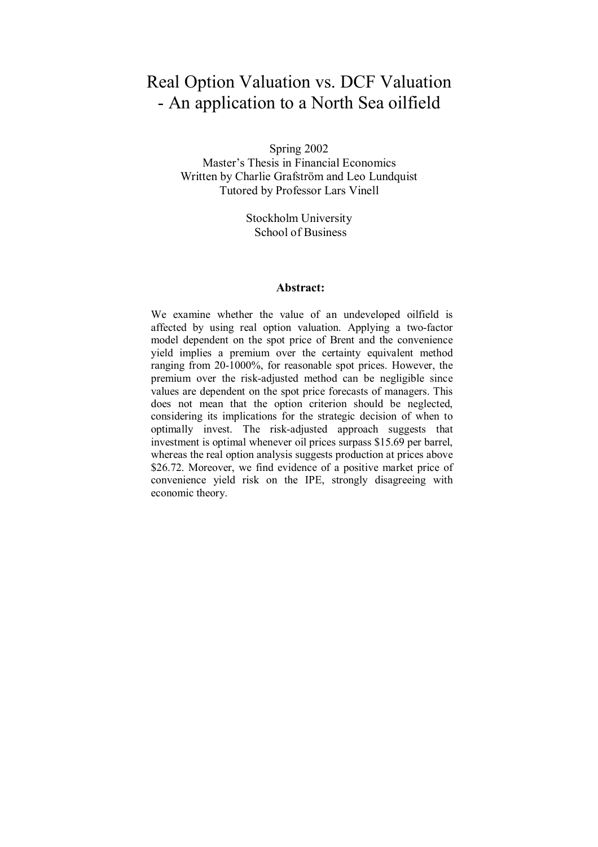# Real Option Valuation vs. DCF Valuation - An application to a North Sea oilfield

Spring 2002

Master's Thesis in Financial Economics Written by Charlie Grafström and Leo Lundquist Tutored by Professor Lars Vinell

> Stockholm University School of Business

#### **Abstract:**

We examine whether the value of an undeveloped oilfield is affected by using real option valuation. Applying a two-factor model dependent on the spot price of Brent and the convenience yield implies a premium over the certainty equivalent method ranging from 20-1000%, for reasonable spot prices. However, the premium over the risk-adjusted method can be negligible since values are dependent on the spot price forecasts of managers. This does not mean that the option criterion should be neglected, considering its implications for the strategic decision of when to optimally invest. The risk-adjusted approach suggests that investment is optimal whenever oil prices surpass \$15.69 per barrel, whereas the real option analysis suggests production at prices above \$26.72. Moreover, we find evidence of a positive market price of convenience yield risk on the IPE, strongly disagreeing with economic theory.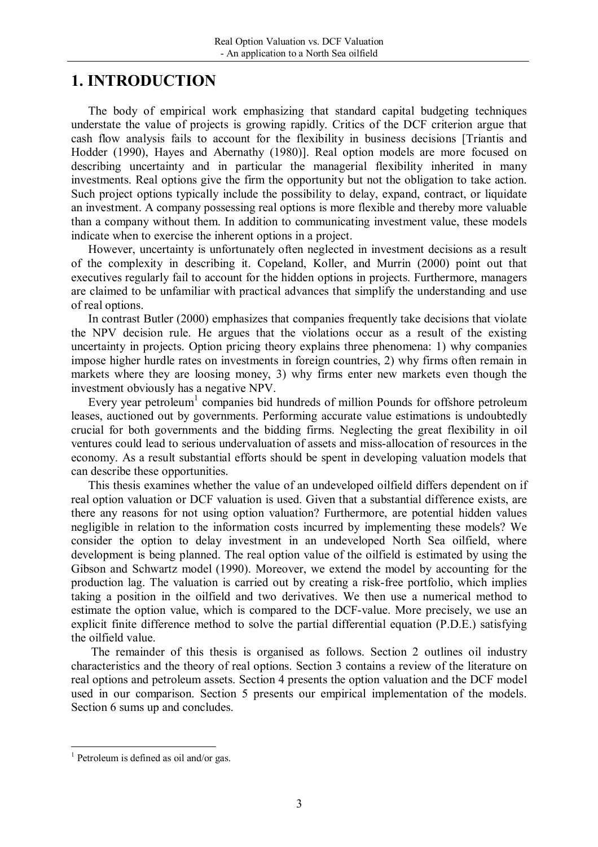# **1. INTRODUCTION**

The body of empirical work emphasizing that standard capital budgeting techniques understate the value of projects is growing rapidly. Critics of the DCF criterion argue that cash flow analysis fails to account for the flexibility in business decisions [Triantis and Hodder (1990), Hayes and Abernathy (1980)]. Real option models are more focused on describing uncertainty and in particular the managerial flexibility inherited in many investments. Real options give the firm the opportunity but not the obligation to take action. Such project options typically include the possibility to delay, expand, contract, or liquidate an investment. A company possessing real options is more flexible and thereby more valuable than a company without them. In addition to communicating investment value, these models indicate when to exercise the inherent options in a project.

However, uncertainty is unfortunately often neglected in investment decisions as a result of the complexity in describing it. Copeland, Koller, and Murrin (2000) point out that executives regularly fail to account for the hidden options in projects. Furthermore, managers are claimed to be unfamiliar with practical advances that simplify the understanding and use of real options.

In contrast Butler (2000) emphasizes that companies frequently take decisions that violate the NPV decision rule. He argues that the violations occur as a result of the existing uncertainty in projects. Option pricing theory explains three phenomena: 1) why companies impose higher hurdle rates on investments in foreign countries, 2) why firms often remain in markets where they are loosing money, 3) why firms enter new markets even though the investment obviously has a negative NPV.

Every year petroleum<sup>1</sup> companies bid hundreds of million Pounds for offshore petroleum leases, auctioned out by governments. Performing accurate value estimations is undoubtedly crucial for both governments and the bidding firms. Neglecting the great flexibility in oil ventures could lead to serious undervaluation of assets and miss-allocation of resources in the economy. As a result substantial efforts should be spent in developing valuation models that can describe these opportunities.

This thesis examines whether the value of an undeveloped oilfield differs dependent on if real option valuation or DCF valuation is used. Given that a substantial difference exists, are there any reasons for not using option valuation? Furthermore, are potential hidden values negligible in relation to the information costs incurred by implementing these models? We consider the option to delay investment in an undeveloped North Sea oilfield, where development is being planned. The real option value of the oilfield is estimated by using the Gibson and Schwartz model (1990). Moreover, we extend the model by accounting for the production lag. The valuation is carried out by creating a risk-free portfolio, which implies taking a position in the oilfield and two derivatives. We then use a numerical method to estimate the option value, which is compared to the DCF-value. More precisely, we use an explicit finite difference method to solve the partial differential equation (P.D.E.) satisfying the oilfield value.

 The remainder of this thesis is organised as follows. Section 2 outlines oil industry characteristics and the theory of real options. Section 3 contains a review of the literature on real options and petroleum assets. Section 4 presents the option valuation and the DCF model used in our comparison. Section 5 presents our empirical implementation of the models. Section 6 sums up and concludes.

<sup>1</sup> Petroleum is defined as oil and/or gas.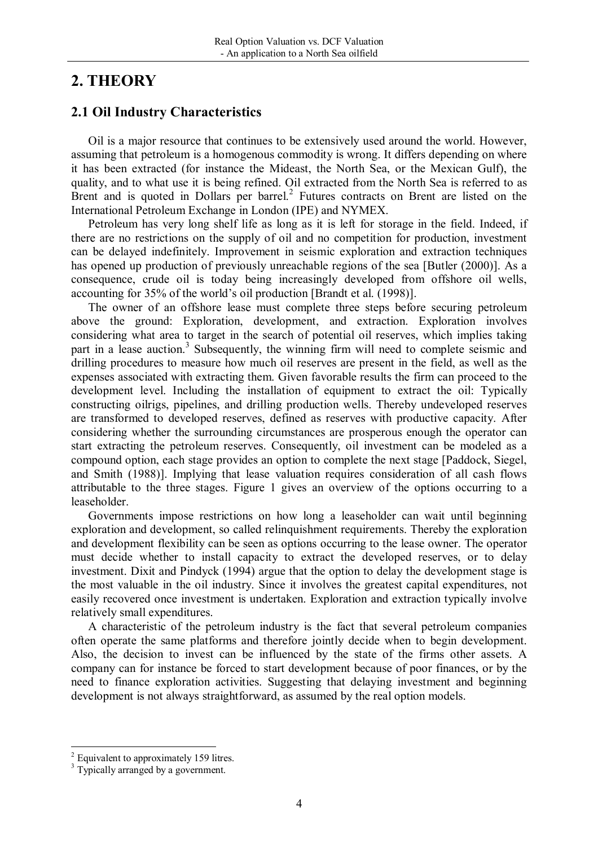# **2. THEORY**

## **2.1 Oil Industry Characteristics**

Oil is a major resource that continues to be extensively used around the world. However, assuming that petroleum is a homogenous commodity is wrong. It differs depending on where it has been extracted (for instance the Mideast, the North Sea, or the Mexican Gulf), the quality, and to what use it is being refined. Oil extracted from the North Sea is referred to as Brent and is quoted in Dollars per barrel.<sup>2</sup> Futures contracts on Brent are listed on the International Petroleum Exchange in London (IPE) and NYMEX.

Petroleum has very long shelf life as long as it is left for storage in the field. Indeed, if there are no restrictions on the supply of oil and no competition for production, investment can be delayed indefinitely. Improvement in seismic exploration and extraction techniques has opened up production of previously unreachable regions of the sea [Butler (2000)]. As a consequence, crude oil is today being increasingly developed from offshore oil wells, accounting for 35% of the world's oil production [Brandt et al. (1998)].

The owner of an offshore lease must complete three steps before securing petroleum above the ground: Exploration, development, and extraction. Exploration involves considering what area to target in the search of potential oil reserves, which implies taking part in a lease auction.<sup>3</sup> Subsequently, the winning firm will need to complete seismic and drilling procedures to measure how much oil reserves are present in the field, as well as the expenses associated with extracting them. Given favorable results the firm can proceed to the development level. Including the installation of equipment to extract the oil: Typically constructing oilrigs, pipelines, and drilling production wells. Thereby undeveloped reserves are transformed to developed reserves, defined as reserves with productive capacity. After considering whether the surrounding circumstances are prosperous enough the operator can start extracting the petroleum reserves. Consequently, oil investment can be modeled as a compound option, each stage provides an option to complete the next stage [Paddock, Siegel, and Smith (1988)]. Implying that lease valuation requires consideration of all cash flows attributable to the three stages. Figure 1 gives an overview of the options occurring to a leaseholder.

Governments impose restrictions on how long a leaseholder can wait until beginning exploration and development, so called relinquishment requirements. Thereby the exploration and development flexibility can be seen as options occurring to the lease owner. The operator must decide whether to install capacity to extract the developed reserves, or to delay investment. Dixit and Pindyck (1994) argue that the option to delay the development stage is the most valuable in the oil industry. Since it involves the greatest capital expenditures, not easily recovered once investment is undertaken. Exploration and extraction typically involve relatively small expenditures.

A characteristic of the petroleum industry is the fact that several petroleum companies often operate the same platforms and therefore jointly decide when to begin development. Also, the decision to invest can be influenced by the state of the firms other assets. A company can for instance be forced to start development because of poor finances, or by the need to finance exploration activities. Suggesting that delaying investment and beginning development is not always straightforward, as assumed by the real option models.

 <sup>2</sup> Equivalent to approximately 159 litres.

<sup>&</sup>lt;sup>3</sup> Typically arranged by a government.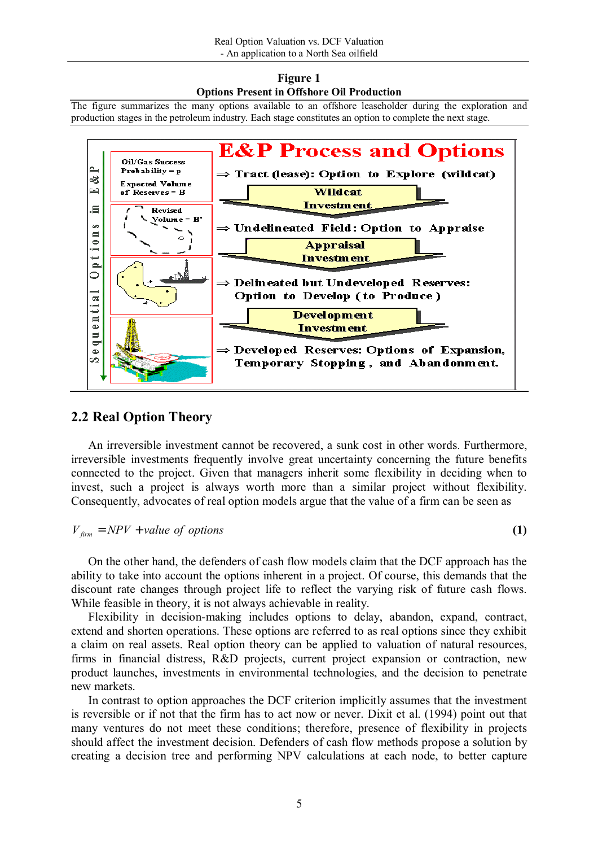#### **Figure 1 Options Present in Offshore Oil Production**

The figure summarizes the many options available to an offshore leaseholder during the exploration and production stages in the petroleum industry. Each stage constitutes an option to complete the next stage.



## **2.2 Real Option Theory**

 An irreversible investment cannot be recovered, a sunk cost in other words. Furthermore, irreversible investments frequently involve great uncertainty concerning the future benefits connected to the project. Given that managers inherit some flexibility in deciding when to invest, such a project is always worth more than a similar project without flexibility. Consequently, advocates of real option models argue that the value of a firm can be seen as

#### $V_{\text{firm}} = NPV + value \text{ of options}$  (1)

On the other hand, the defenders of cash flow models claim that the DCF approach has the ability to take into account the options inherent in a project. Of course, this demands that the discount rate changes through project life to reflect the varying risk of future cash flows. While feasible in theory, it is not always achievable in reality.

Flexibility in decision-making includes options to delay, abandon, expand, contract, extend and shorten operations. These options are referred to as real options since they exhibit a claim on real assets. Real option theory can be applied to valuation of natural resources, firms in financial distress, R&D projects, current project expansion or contraction, new product launches, investments in environmental technologies, and the decision to penetrate new markets.

In contrast to option approaches the DCF criterion implicitly assumes that the investment is reversible or if not that the firm has to act now or never. Dixit et al. (1994) point out that many ventures do not meet these conditions; therefore, presence of flexibility in projects should affect the investment decision. Defenders of cash flow methods propose a solution by creating a decision tree and performing NPV calculations at each node, to better capture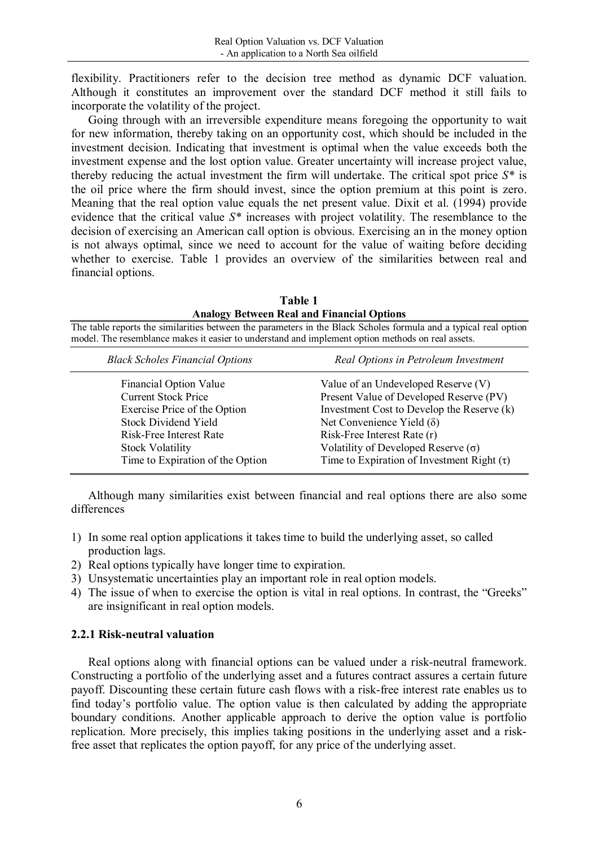flexibility. Practitioners refer to the decision tree method as dynamic DCF valuation. Although it constitutes an improvement over the standard DCF method it still fails to incorporate the volatility of the project.

Going through with an irreversible expenditure means foregoing the opportunity to wait for new information, thereby taking on an opportunity cost, which should be included in the investment decision. Indicating that investment is optimal when the value exceeds both the investment expense and the lost option value. Greater uncertainty will increase project value, thereby reducing the actual investment the firm will undertake. The critical spot price *S\** is the oil price where the firm should invest, since the option premium at this point is zero. Meaning that the real option value equals the net present value. Dixit et al. (1994) provide evidence that the critical value *S\** increases with project volatility. The resemblance to the decision of exercising an American call option is obvious. Exercising an in the money option is not always optimal, since we need to account for the value of waiting before deciding whether to exercise. Table 1 provides an overview of the similarities between real and financial options.

**Table 1 Analogy Between Real and Financial Options**

The table reports the similarities between the parameters in the Black Scholes formula and a typical real option model. The resemblance makes it easier to understand and implement option methods on real assets.

| <b>Black Scholes Financial Options</b> | Real Options in Petroleum Investment            |
|----------------------------------------|-------------------------------------------------|
| <b>Financial Option Value</b>          | Value of an Undeveloped Reserve (V)             |
| <b>Current Stock Price</b>             | Present Value of Developed Reserve (PV)         |
| Exercise Price of the Option           | Investment Cost to Develop the Reserve (k)      |
| <b>Stock Dividend Yield</b>            | Net Convenience Yield $(\delta)$                |
| <b>Risk-Free Interest Rate</b>         | Risk-Free Interest Rate (r)                     |
| <b>Stock Volatility</b>                | Volatility of Developed Reserve $(\sigma)$      |
| Time to Expiration of the Option       | Time to Expiration of Investment Right $(\tau)$ |

Although many similarities exist between financial and real options there are also some differences

- 1) In some real option applications it takes time to build the underlying asset, so called production lags.
- 2) Real options typically have longer time to expiration.
- 3) Unsystematic uncertainties play an important role in real option models.
- 4) The issue of when to exercise the option is vital in real options. In contrast, the "Greeks" are insignificant in real option models.

#### **2.2.1 Risk-neutral valuation**

Real options along with financial options can be valued under a risk-neutral framework. Constructing a portfolio of the underlying asset and a futures contract assures a certain future payoff. Discounting these certain future cash flows with a risk-free interest rate enables us to find todayís portfolio value. The option value is then calculated by adding the appropriate boundary conditions. Another applicable approach to derive the option value is portfolio replication. More precisely, this implies taking positions in the underlying asset and a riskfree asset that replicates the option payoff, for any price of the underlying asset.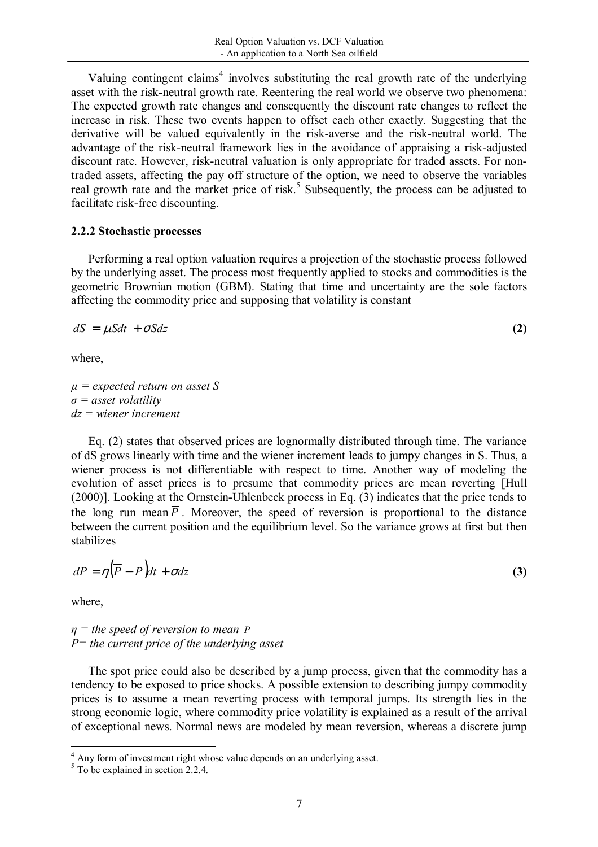Valuing contingent claims<sup>4</sup> involves substituting the real growth rate of the underlying asset with the risk-neutral growth rate. Reentering the real world we observe two phenomena: The expected growth rate changes and consequently the discount rate changes to reflect the increase in risk. These two events happen to offset each other exactly. Suggesting that the derivative will be valued equivalently in the risk-averse and the risk-neutral world. The advantage of the risk-neutral framework lies in the avoidance of appraising a risk-adjusted discount rate. However, risk-neutral valuation is only appropriate for traded assets. For nontraded assets, affecting the pay off structure of the option, we need to observe the variables real growth rate and the market price of risk.<sup>5</sup> Subsequently, the process can be adjusted to facilitate risk-free discounting.

#### **2.2.2 Stochastic processes**

Performing a real option valuation requires a projection of the stochastic process followed by the underlying asset. The process most frequently applied to stocks and commodities is the geometric Brownian motion (GBM). Stating that time and uncertainty are the sole factors affecting the commodity price and supposing that volatility is constant

 $dS = \mu S dt + \sigma S dz$  (2)

where,

*µ = expected return on asset S σ = asset volatility dz = wiener increment* 

Eq. (2) states that observed prices are lognormally distributed through time. The variance of dS grows linearly with time and the wiener increment leads to jumpy changes in S. Thus, a wiener process is not differentiable with respect to time. Another way of modeling the evolution of asset prices is to presume that commodity prices are mean reverting [Hull (2000)]. Looking at the Ornstein-Uhlenbeck process in Eq. (3) indicates that the price tends to the long run mean  $\overline{P}$ . Moreover, the speed of reversion is proportional to the distance between the current position and the equilibrium level. So the variance grows at first but then stabilizes

$$
dP = \eta \left( \overline{P} - P \right) dt + \sigma dz \tag{3}
$$

where,

*η = the speed of reversion to mean P P= the current price of the underlying asset* 

The spot price could also be described by a jump process, given that the commodity has a tendency to be exposed to price shocks. A possible extension to describing jumpy commodity prices is to assume a mean reverting process with temporal jumps. Its strength lies in the strong economic logic, where commodity price volatility is explained as a result of the arrival of exceptional news. Normal news are modeled by mean reversion, whereas a discrete jump

  $^{4}$  Any form of investment right whose value depends on an underlying asset.

 $5$  To be explained in section 2.2.4.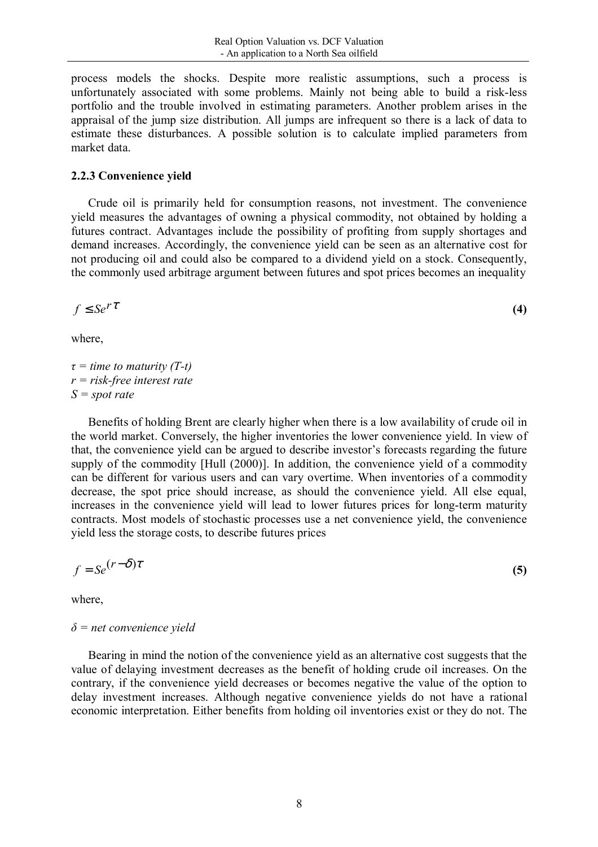process models the shocks. Despite more realistic assumptions, such a process is unfortunately associated with some problems. Mainly not being able to build a risk-less portfolio and the trouble involved in estimating parameters. Another problem arises in the appraisal of the jump size distribution. All jumps are infrequent so there is a lack of data to estimate these disturbances. A possible solution is to calculate implied parameters from market data.

#### **2.2.3 Convenience yield**

Crude oil is primarily held for consumption reasons, not investment. The convenience yield measures the advantages of owning a physical commodity, not obtained by holding a futures contract. Advantages include the possibility of profiting from supply shortages and demand increases. Accordingly, the convenience yield can be seen as an alternative cost for not producing oil and could also be compared to a dividend yield on a stock. Consequently, the commonly used arbitrage argument between futures and spot prices becomes an inequality

 $f \leq Se^{r\tau}$  (4)

where,

*τ = time to maturity (T-t) r = risk-free interest rate S = spot rate* 

Benefits of holding Brent are clearly higher when there is a low availability of crude oil in the world market. Conversely, the higher inventories the lower convenience yield. In view of that, the convenience yield can be argued to describe investor's forecasts regarding the future supply of the commodity [Hull (2000)]. In addition, the convenience yield of a commodity can be different for various users and can vary overtime. When inventories of a commodity decrease, the spot price should increase, as should the convenience yield. All else equal, increases in the convenience yield will lead to lower futures prices for long-term maturity contracts. Most models of stochastic processes use a net convenience yield, the convenience yield less the storage costs, to describe futures prices

$$
f = Se^{(r-\delta)\tau}
$$
 (5)

where,

#### *δ = net convenience yield*

 Bearing in mind the notion of the convenience yield as an alternative cost suggests that the value of delaying investment decreases as the benefit of holding crude oil increases. On the contrary, if the convenience yield decreases or becomes negative the value of the option to delay investment increases. Although negative convenience yields do not have a rational economic interpretation. Either benefits from holding oil inventories exist or they do not. The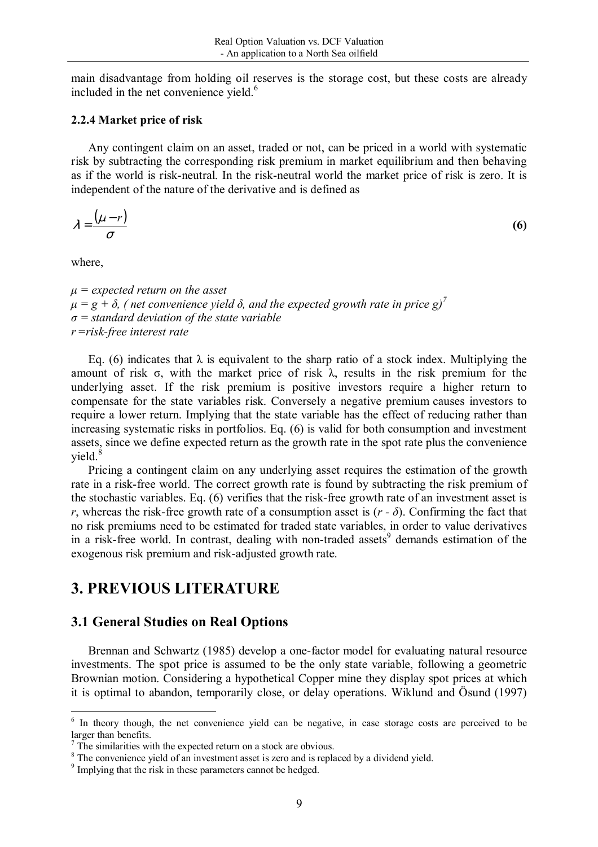main disadvantage from holding oil reserves is the storage cost, but these costs are already included in the net convenience yield.<sup>6</sup>

#### **2.2.4 Market price of risk**

Any contingent claim on an asset, traded or not, can be priced in a world with systematic risk by subtracting the corresponding risk premium in market equilibrium and then behaving as if the world is risk-neutral. In the risk-neutral world the market price of risk is zero. It is independent of the nature of the derivative and is defined as

$$
\lambda = \frac{(\mu - r)}{\sigma} \tag{6}
$$

where,

*µ = expected return on the asset*   $\mu = g + \delta$ , (net convenience yield  $\delta$ , and the expected growth rate in price  $g$ )<sup>7</sup> *σ = standard deviation of the state variable r=risk-free interest rate*

Eq. (6) indicates that  $\lambda$  is equivalent to the sharp ratio of a stock index. Multiplying the amount of risk  $\sigma$ , with the market price of risk  $\lambda$ , results in the risk premium for the underlying asset. If the risk premium is positive investors require a higher return to compensate for the state variables risk. Conversely a negative premium causes investors to require a lower return. Implying that the state variable has the effect of reducing rather than increasing systematic risks in portfolios. Eq. (6) is valid for both consumption and investment assets, since we define expected return as the growth rate in the spot rate plus the convenience yield. $8$ 

 Pricing a contingent claim on any underlying asset requires the estimation of the growth rate in a risk-free world. The correct growth rate is found by subtracting the risk premium of the stochastic variables. Eq. (6) verifies that the risk-free growth rate of an investment asset is *r*, whereas the risk-free growth rate of a consumption asset is  $(r - \delta)$ . Confirming the fact that no risk premiums need to be estimated for traded state variables, in order to value derivatives in a risk-free world. In contrast, dealing with non-traded assets<sup>9</sup> demands estimation of the exogenous risk premium and risk-adjusted growth rate.

# **3. PREVIOUS LITERATURE**

# **3.1 General Studies on Real Options**

Brennan and Schwartz (1985) develop a one-factor model for evaluating natural resource investments. The spot price is assumed to be the only state variable, following a geometric Brownian motion. Considering a hypothetical Copper mine they display spot prices at which it is optimal to abandon, temporarily close, or delay operations. Wiklund and  $\ddot{\text{O}}$ sund (1997)

 <sup>6</sup> In theory though, the net convenience yield can be negative, in case storage costs are perceived to be larger than benefits.

<sup>7</sup> The similarities with the expected return on a stock are obvious.

<sup>&</sup>lt;sup>8</sup> The convenience yield of an investment asset is zero and is replaced by a dividend yield.

<sup>&</sup>lt;sup>9</sup> Implying that the risk in these parameters cannot be hedged.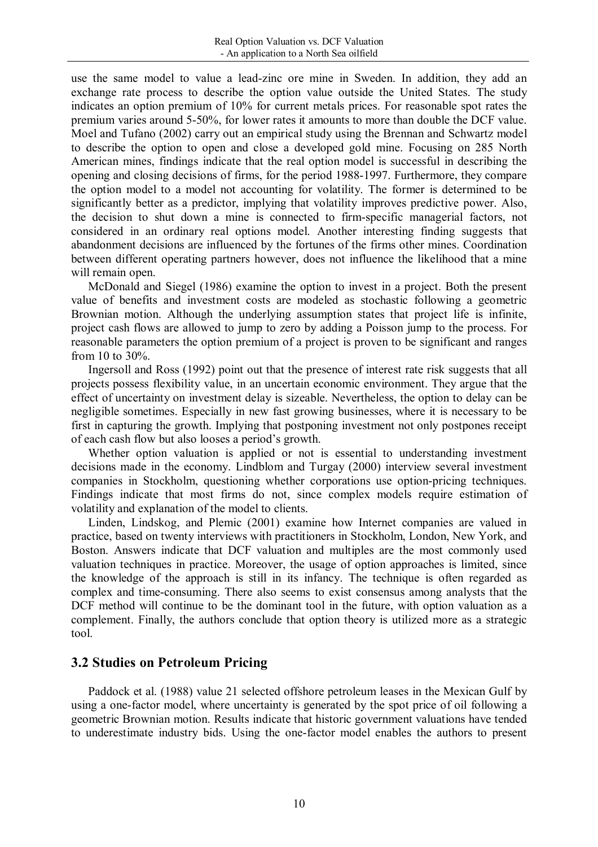use the same model to value a lead-zinc ore mine in Sweden. In addition, they add an exchange rate process to describe the option value outside the United States. The study indicates an option premium of 10% for current metals prices. For reasonable spot rates the premium varies around 5-50%, for lower rates it amounts to more than double the DCF value. Moel and Tufano (2002) carry out an empirical study using the Brennan and Schwartz model to describe the option to open and close a developed gold mine. Focusing on 285 North American mines, findings indicate that the real option model is successful in describing the opening and closing decisions of firms, for the period 1988-1997. Furthermore, they compare the option model to a model not accounting for volatility. The former is determined to be significantly better as a predictor, implying that volatility improves predictive power. Also, the decision to shut down a mine is connected to firm-specific managerial factors, not considered in an ordinary real options model. Another interesting finding suggests that abandonment decisions are influenced by the fortunes of the firms other mines. Coordination between different operating partners however, does not influence the likelihood that a mine will remain open.

McDonald and Siegel (1986) examine the option to invest in a project. Both the present value of benefits and investment costs are modeled as stochastic following a geometric Brownian motion. Although the underlying assumption states that project life is infinite, project cash flows are allowed to jump to zero by adding a Poisson jump to the process. For reasonable parameters the option premium of a project is proven to be significant and ranges from 10 to 30%.

Ingersoll and Ross (1992) point out that the presence of interest rate risk suggests that all projects possess flexibility value, in an uncertain economic environment. They argue that the effect of uncertainty on investment delay is sizeable. Nevertheless, the option to delay can be negligible sometimes. Especially in new fast growing businesses, where it is necessary to be first in capturing the growth. Implying that postponing investment not only postpones receipt of each cash flow but also looses a period's growth.

Whether option valuation is applied or not is essential to understanding investment decisions made in the economy. Lindblom and Turgay (2000) interview several investment companies in Stockholm, questioning whether corporations use option-pricing techniques. Findings indicate that most firms do not, since complex models require estimation of volatility and explanation of the model to clients.

Linden, Lindskog, and Plemic (2001) examine how Internet companies are valued in practice, based on twenty interviews with practitioners in Stockholm, London, New York, and Boston. Answers indicate that DCF valuation and multiples are the most commonly used valuation techniques in practice. Moreover, the usage of option approaches is limited, since the knowledge of the approach is still in its infancy. The technique is often regarded as complex and time-consuming. There also seems to exist consensus among analysts that the DCF method will continue to be the dominant tool in the future, with option valuation as a complement. Finally, the authors conclude that option theory is utilized more as a strategic tool.

## **3.2 Studies on Petroleum Pricing**

Paddock et al. (1988) value 21 selected offshore petroleum leases in the Mexican Gulf by using a one-factor model, where uncertainty is generated by the spot price of oil following a geometric Brownian motion. Results indicate that historic government valuations have tended to underestimate industry bids. Using the one-factor model enables the authors to present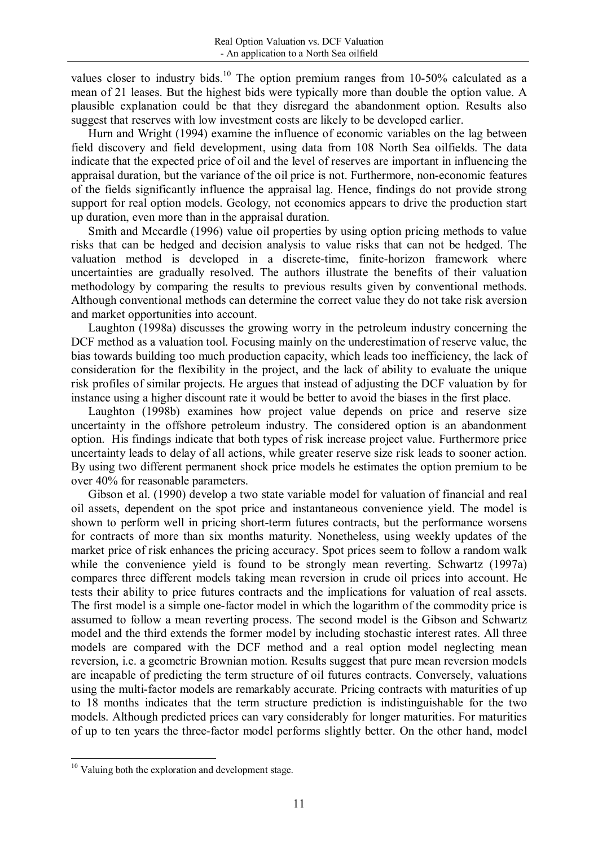values closer to industry bids.<sup>10</sup> The option premium ranges from  $10-50\%$  calculated as a mean of 21 leases. But the highest bids were typically more than double the option value. A plausible explanation could be that they disregard the abandonment option. Results also suggest that reserves with low investment costs are likely to be developed earlier.

Hurn and Wright (1994) examine the influence of economic variables on the lag between field discovery and field development, using data from 108 North Sea oilfields. The data indicate that the expected price of oil and the level of reserves are important in influencing the appraisal duration, but the variance of the oil price is not. Furthermore, non-economic features of the fields significantly influence the appraisal lag. Hence, findings do not provide strong support for real option models. Geology, not economics appears to drive the production start up duration, even more than in the appraisal duration.

Smith and Mccardle (1996) value oil properties by using option pricing methods to value risks that can be hedged and decision analysis to value risks that can not be hedged. The valuation method is developed in a discrete-time, finite-horizon framework where uncertainties are gradually resolved. The authors illustrate the benefits of their valuation methodology by comparing the results to previous results given by conventional methods. Although conventional methods can determine the correct value they do not take risk aversion and market opportunities into account.

Laughton (1998a) discusses the growing worry in the petroleum industry concerning the DCF method as a valuation tool. Focusing mainly on the underestimation of reserve value, the bias towards building too much production capacity, which leads too inefficiency, the lack of consideration for the flexibility in the project, and the lack of ability to evaluate the unique risk profiles of similar projects. He argues that instead of adjusting the DCF valuation by for instance using a higher discount rate it would be better to avoid the biases in the first place.

Laughton (1998b) examines how project value depends on price and reserve size uncertainty in the offshore petroleum industry. The considered option is an abandonment option. His findings indicate that both types of risk increase project value. Furthermore price uncertainty leads to delay of all actions, while greater reserve size risk leads to sooner action. By using two different permanent shock price models he estimates the option premium to be over 40% for reasonable parameters.

Gibson et al. (1990) develop a two state variable model for valuation of financial and real oil assets, dependent on the spot price and instantaneous convenience yield. The model is shown to perform well in pricing short-term futures contracts, but the performance worsens for contracts of more than six months maturity. Nonetheless, using weekly updates of the market price of risk enhances the pricing accuracy. Spot prices seem to follow a random walk while the convenience yield is found to be strongly mean reverting. Schwartz (1997a) compares three different models taking mean reversion in crude oil prices into account. He tests their ability to price futures contracts and the implications for valuation of real assets. The first model is a simple one-factor model in which the logarithm of the commodity price is assumed to follow a mean reverting process. The second model is the Gibson and Schwartz model and the third extends the former model by including stochastic interest rates. All three models are compared with the DCF method and a real option model neglecting mean reversion, i.e. a geometric Brownian motion. Results suggest that pure mean reversion models are incapable of predicting the term structure of oil futures contracts. Conversely, valuations using the multi-factor models are remarkably accurate. Pricing contracts with maturities of up to 18 months indicates that the term structure prediction is indistinguishable for the two models. Although predicted prices can vary considerably for longer maturities. For maturities of up to ten years the three-factor model performs slightly better. On the other hand, model

 $10$  Valuing both the exploration and development stage.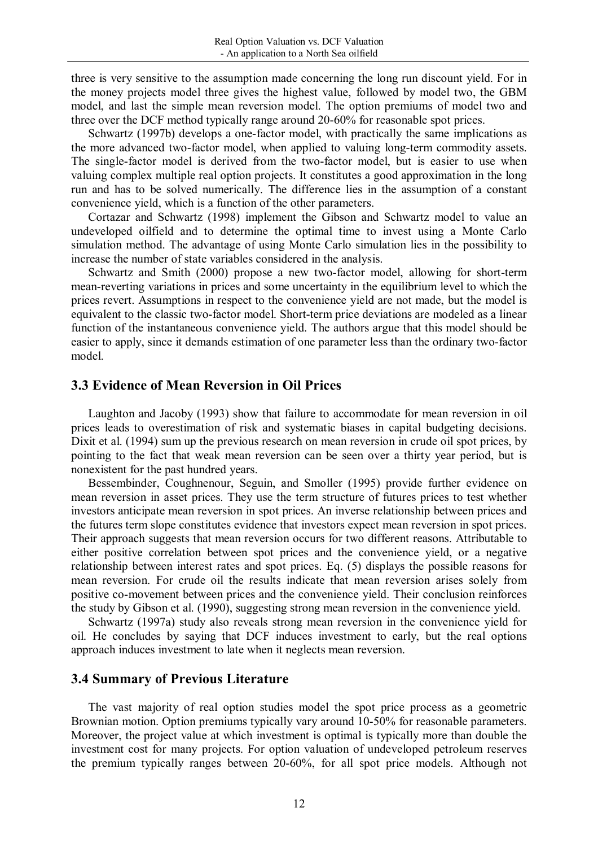three is very sensitive to the assumption made concerning the long run discount yield. For in the money projects model three gives the highest value, followed by model two, the GBM model, and last the simple mean reversion model. The option premiums of model two and three over the DCF method typically range around 20-60% for reasonable spot prices.

Schwartz (1997b) develops a one-factor model, with practically the same implications as the more advanced two-factor model, when applied to valuing long-term commodity assets. The single-factor model is derived from the two-factor model, but is easier to use when valuing complex multiple real option projects. It constitutes a good approximation in the long run and has to be solved numerically. The difference lies in the assumption of a constant convenience yield, which is a function of the other parameters.

Cortazar and Schwartz (1998) implement the Gibson and Schwartz model to value an undeveloped oilfield and to determine the optimal time to invest using a Monte Carlo simulation method. The advantage of using Monte Carlo simulation lies in the possibility to increase the number of state variables considered in the analysis.

 Schwartz and Smith (2000) propose a new two-factor model, allowing for short-term mean-reverting variations in prices and some uncertainty in the equilibrium level to which the prices revert. Assumptions in respect to the convenience yield are not made, but the model is equivalent to the classic two-factor model. Short-term price deviations are modeled as a linear function of the instantaneous convenience yield. The authors argue that this model should be easier to apply, since it demands estimation of one parameter less than the ordinary two-factor model.

#### **3.3 Evidence of Mean Reversion in Oil Prices**

Laughton and Jacoby (1993) show that failure to accommodate for mean reversion in oil prices leads to overestimation of risk and systematic biases in capital budgeting decisions. Dixit et al. (1994) sum up the previous research on mean reversion in crude oil spot prices, by pointing to the fact that weak mean reversion can be seen over a thirty year period, but is nonexistent for the past hundred years.

Bessembinder, Coughnenour, Seguin, and Smoller (1995) provide further evidence on mean reversion in asset prices. They use the term structure of futures prices to test whether investors anticipate mean reversion in spot prices. An inverse relationship between prices and the futures term slope constitutes evidence that investors expect mean reversion in spot prices. Their approach suggests that mean reversion occurs for two different reasons. Attributable to either positive correlation between spot prices and the convenience yield, or a negative relationship between interest rates and spot prices. Eq. (5) displays the possible reasons for mean reversion. For crude oil the results indicate that mean reversion arises solely from positive co-movement between prices and the convenience yield. Their conclusion reinforces the study by Gibson et al. (1990), suggesting strong mean reversion in the convenience yield.

Schwartz (1997a) study also reveals strong mean reversion in the convenience yield for oil. He concludes by saying that DCF induces investment to early, but the real options approach induces investment to late when it neglects mean reversion.

#### **3.4 Summary of Previous Literature**

The vast majority of real option studies model the spot price process as a geometric Brownian motion. Option premiums typically vary around 10-50% for reasonable parameters. Moreover, the project value at which investment is optimal is typically more than double the investment cost for many projects. For option valuation of undeveloped petroleum reserves the premium typically ranges between 20-60%, for all spot price models. Although not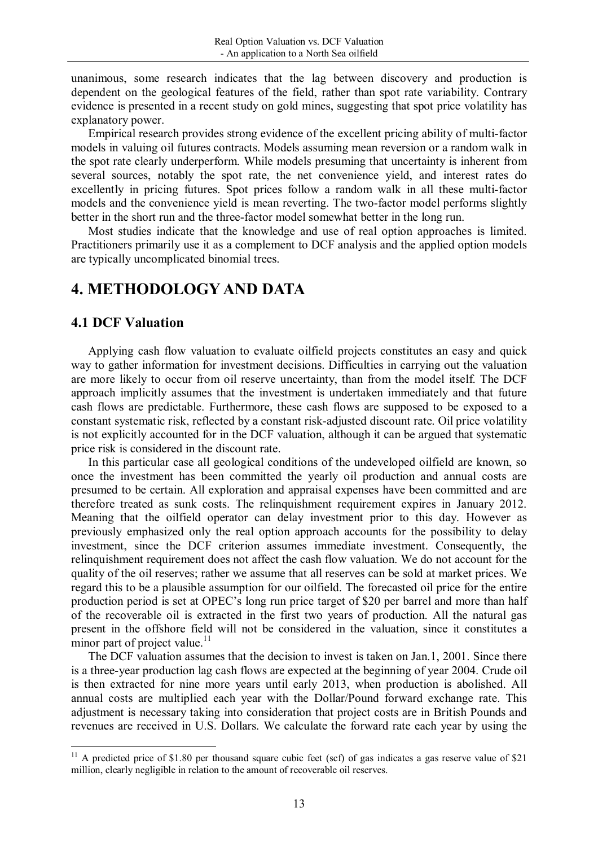unanimous, some research indicates that the lag between discovery and production is dependent on the geological features of the field, rather than spot rate variability. Contrary evidence is presented in a recent study on gold mines, suggesting that spot price volatility has explanatory power.

 Empirical research provides strong evidence of the excellent pricing ability of multi-factor models in valuing oil futures contracts. Models assuming mean reversion or a random walk in the spot rate clearly underperform. While models presuming that uncertainty is inherent from several sources, notably the spot rate, the net convenience yield, and interest rates do excellently in pricing futures. Spot prices follow a random walk in all these multi-factor models and the convenience yield is mean reverting. The two-factor model performs slightly better in the short run and the three-factor model somewhat better in the long run.

Most studies indicate that the knowledge and use of real option approaches is limited. Practitioners primarily use it as a complement to DCF analysis and the applied option models are typically uncomplicated binomial trees.

# **4. METHODOLOGY AND DATA**

# **4.1 DCF Valuation**

Applying cash flow valuation to evaluate oilfield projects constitutes an easy and quick way to gather information for investment decisions. Difficulties in carrying out the valuation are more likely to occur from oil reserve uncertainty, than from the model itself. The DCF approach implicitly assumes that the investment is undertaken immediately and that future cash flows are predictable. Furthermore, these cash flows are supposed to be exposed to a constant systematic risk, reflected by a constant risk-adjusted discount rate. Oil price volatility is not explicitly accounted for in the DCF valuation, although it can be argued that systematic price risk is considered in the discount rate.

 In this particular case all geological conditions of the undeveloped oilfield are known, so once the investment has been committed the yearly oil production and annual costs are presumed to be certain. All exploration and appraisal expenses have been committed and are therefore treated as sunk costs. The relinquishment requirement expires in January 2012. Meaning that the oilfield operator can delay investment prior to this day. However as previously emphasized only the real option approach accounts for the possibility to delay investment, since the DCF criterion assumes immediate investment. Consequently, the relinquishment requirement does not affect the cash flow valuation. We do not account for the quality of the oil reserves; rather we assume that all reserves can be sold at market prices. We regard this to be a plausible assumption for our oilfield. The forecasted oil price for the entire production period is set at OPEC's long run price target of \$20 per barrel and more than half of the recoverable oil is extracted in the first two years of production. All the natural gas present in the offshore field will not be considered in the valuation, since it constitutes a minor part of project value. $^{11}$ 

The DCF valuation assumes that the decision to invest is taken on Jan.1, 2001. Since there is a three-year production lag cash flows are expected at the beginning of year 2004. Crude oil is then extracted for nine more years until early 2013, when production is abolished. All annual costs are multiplied each year with the Dollar/Pound forward exchange rate. This adjustment is necessary taking into consideration that project costs are in British Pounds and revenues are received in U.S. Dollars. We calculate the forward rate each year by using the

 $11$  A predicted price of \$1.80 per thousand square cubic feet (scf) of gas indicates a gas reserve value of \$21 million, clearly negligible in relation to the amount of recoverable oil reserves.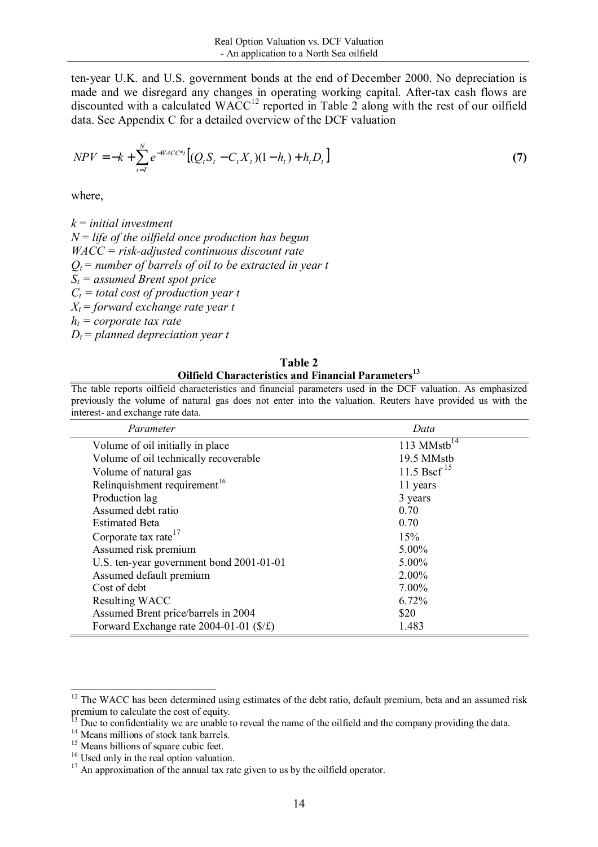ten-year U.K. and U.S. government bonds at the end of December 2000. No depreciation is made and we disregard any changes in operating working capital. After-tax cash flows are discounted with a calculated WACC<sup>12</sup> reported in Table 2 along with the rest of our oilfield data. See Appendix C for a detailed overview of the DCF valuation

$$
NPV = -k + \sum_{t=T}^{N} e^{-WACC^{*}t} [(Q_t S_t - C_t X_t)(1 - h_t) + h_t D_t]
$$
\n(7)

where,

*k* = *initial investment N* = *life of the oilfield once production has begun WACC = risk-adjusted continuous discount rate*   $Q_t$  = number of barrels of oil to be extracted in year t *St = assumed Brent spot price*   $C_t$  = total cost of production year t *Xt = forward exchange rate year t*   $h_t$  = corporate tax rate  $D_t =$  planned depreciation year t

**Table 2 Oilfield Characteristics and Financial Parameters<sup>13</sup>**

The table reports oilfield characteristics and financial parameters used in the DCF valuation. As emphasized previously the volume of natural gas does not enter into the valuation. Reuters have provided us with the interest- and exchange rate data.

| Parameter                                | Data                    |
|------------------------------------------|-------------------------|
| Volume of oil initially in place         | 113 MMst $b^{14}$       |
| Volume of oil technically recoverable    | 19.5 MMstb              |
| Volume of natural gas                    | 11.5 Bscf <sup>15</sup> |
| Relinquishment requirement <sup>16</sup> | 11 years                |
| Production lag                           | 3 years                 |
| Assumed debt ratio                       | 0.70                    |
| <b>Estimated Beta</b>                    | 0.70                    |
| Corporate tax rate <sup>17</sup>         | 15%                     |
| Assumed risk premium                     | 5.00%                   |
| U.S. ten-year government bond 2001-01-01 | 5.00%                   |
| Assumed default premium                  | $2.00\%$                |
| Cost of debt                             | 7.00%                   |
| <b>Resulting WACC</b>                    | 6.72%                   |
| Assumed Brent price/barrels in 2004      | \$20                    |
| Forward Exchange rate 2004-01-01 (\$/£)  | 1.483                   |

 <sup>12</sup> The WACC has been determined using estimates of the debt ratio, default premium, beta and an assumed risk premium to calculate the cost of equity.

Due to confidentiality we are unable to reveal the name of the oilfield and the company providing the data.

<sup>&</sup>lt;sup>14</sup> Means millions of stock tank barrels.

<sup>&</sup>lt;sup>15</sup> Means billions of square cubic feet.

<sup>&</sup>lt;sup>16</sup> Used only in the real option valuation.

<sup>&</sup>lt;sup>17</sup> An approximation of the annual tax rate given to us by the oilfield operator.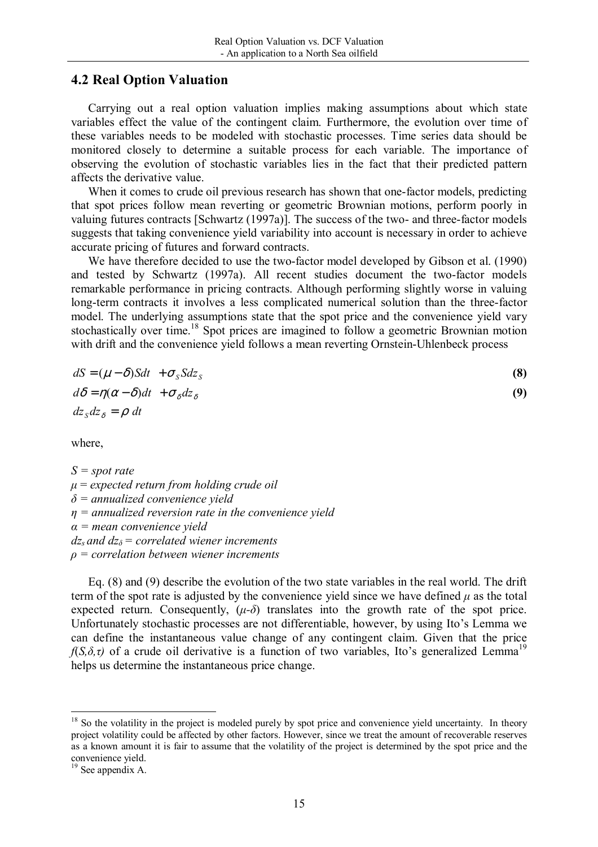## **4.2 Real Option Valuation**

 Carrying out a real option valuation implies making assumptions about which state variables effect the value of the contingent claim. Furthermore, the evolution over time of these variables needs to be modeled with stochastic processes. Time series data should be monitored closely to determine a suitable process for each variable. The importance of observing the evolution of stochastic variables lies in the fact that their predicted pattern affects the derivative value.

When it comes to crude oil previous research has shown that one-factor models, predicting that spot prices follow mean reverting or geometric Brownian motions, perform poorly in valuing futures contracts [Schwartz (1997a)]. The success of the two- and three-factor models suggests that taking convenience yield variability into account is necessary in order to achieve accurate pricing of futures and forward contracts.

We have therefore decided to use the two-factor model developed by Gibson et al. (1990) and tested by Schwartz (1997a). All recent studies document the two-factor models remarkable performance in pricing contracts. Although performing slightly worse in valuing long-term contracts it involves a less complicated numerical solution than the three-factor model. The underlying assumptions state that the spot price and the convenience yield vary stochastically over time.<sup>18</sup> Spot prices are imagined to follow a geometric Brownian motion with drift and the convenience yield follows a mean reverting Ornstein-Uhlenbeck process

| $dS = (\mu - \delta)Sdt + \sigma_s Sdz_s$           | (8) |
|-----------------------------------------------------|-----|
| $d\delta = \eta(\alpha - \delta)dt + \sigma_s dz_s$ | (9) |
| $dz_{S}dz_{\delta} = \rho dt$                       |     |

where,

*S = spot rate µ* = *expected return from holding crude oil δ = annualized convenience yield η = annualized reversion rate in the convenience yield α = mean convenience yield dzs and dz<sup>δ</sup> = correlated wiener increments ρ = correlation between wiener increments* 

Eq. (8) and (9) describe the evolution of the two state variables in the real world. The drift term of the spot rate is adjusted by the convenience yield since we have defined  $\mu$  as the total expected return. Consequently,  $(\mu - \delta)$  translates into the growth rate of the spot price. Unfortunately stochastic processes are not differentiable, however, by using Ito's Lemma we can define the instantaneous value change of any contingent claim. Given that the price  $f(S, \delta, \tau)$  of a crude oil derivative is a function of two variables, Ito's generalized Lemma<sup>19</sup> helps us determine the instantaneous price change.

  $18$  So the volatility in the project is modeled purely by spot price and convenience yield uncertainty. In theory project volatility could be affected by other factors. However, since we treat the amount of recoverable reserves as a known amount it is fair to assume that the volatility of the project is determined by the spot price and the convenience yield.

<sup>&</sup>lt;sup>19</sup> See appendix A.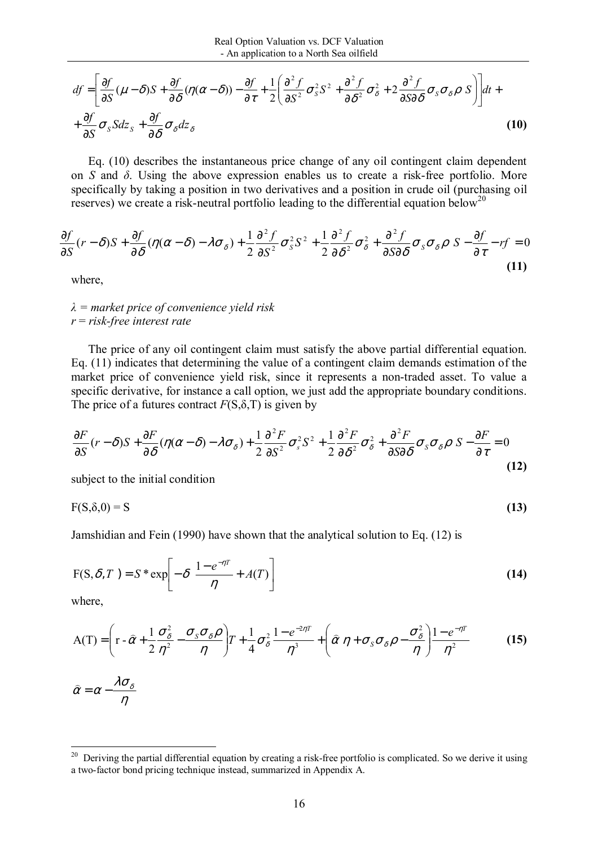$$
df = \left[ \frac{\partial f}{\partial S} (\mu - \delta) S + \frac{\partial f}{\partial \delta} (\eta (\alpha - \delta)) - \frac{\partial f}{\partial \tau} + \frac{1}{2} \left( \frac{\partial^2 f}{\partial S^2} \sigma_S^2 S^2 + \frac{\partial^2 f}{\partial \delta^2} \sigma_S^2 + 2 \frac{\partial^2 f}{\partial S \partial \delta} \sigma_S \sigma_S \rho S \right) \right] dt +
$$
  
+ 
$$
\frac{\partial f}{\partial S} \sigma_S S dz_S + \frac{\partial f}{\partial \delta} \sigma_S dz_\delta
$$
 (10)

Eq. (10) describes the instantaneous price change of any oil contingent claim dependent on *S* and *δ*. Using the above expression enables us to create a risk-free portfolio. More specifically by taking a position in two derivatives and a position in crude oil (purchasing oil reserves) we create a risk-neutral portfolio leading to the differential equation below<sup>20</sup>

$$
\frac{\partial f}{\partial S}(r-\delta)S + \frac{\partial f}{\partial \delta}(\eta(\alpha-\delta) - \lambda \sigma_{\delta}) + \frac{1}{2}\frac{\partial^2 f}{\partial S^2}\sigma_{\delta}^2 S^2 + \frac{1}{2}\frac{\partial^2 f}{\partial \delta^2}\sigma_{\delta}^2 + \frac{\partial^2 f}{\partial S \partial \delta}\sigma_{\delta}\sigma_{\delta}\rho S - \frac{\partial f}{\partial \tau} - rf = 0
$$
\n(11)

where,

#### *λ = market price of convenience yield risk r* = *risk-free interest rate*

The price of any oil contingent claim must satisfy the above partial differential equation. Eq. (11) indicates that determining the value of a contingent claim demands estimation of the market price of convenience yield risk, since it represents a non-traded asset. To value a specific derivative, for instance a call option, we just add the appropriate boundary conditions. The price of a futures contract  $F(S, \delta, T)$  is given by

$$
\frac{\partial F}{\partial S}(r-\delta)S + \frac{\partial F}{\partial \delta}(\eta(\alpha-\delta) - \lambda\sigma_{\delta}) + \frac{1}{2}\frac{\partial^2 F}{\partial S^2}\sigma_{\delta}^2S^2 + \frac{1}{2}\frac{\partial^2 F}{\partial S^2}\sigma_{\delta}^2 + \frac{\partial^2 F}{\partial S\partial \delta}\sigma_{\delta}\sigma_{\delta}\rho S - \frac{\partial F}{\partial \tau} = 0
$$
\n(12)

subject to the initial condition

$$
F(S,\delta,0) = S \tag{13}
$$

Jamshidian and Fein (1990) have shown that the analytical solution to Eq. (12) is

$$
F(S, \delta, T) = S * exp\left[-\delta \frac{1 - e^{-\eta T}}{\eta} + A(T)\right]
$$
\n(14)

where,

$$
A(T) = \left(r - \hat{\alpha} + \frac{1}{2}\frac{\sigma_{\delta}^{2}}{\eta^{2}} - \frac{\sigma_{S}\sigma_{\delta}\rho}{\eta}\right)T + \frac{1}{4}\sigma_{\delta}^{2}\frac{1 - e^{-2\eta T}}{\eta^{3}} + \left(\hat{\alpha}\eta + \sigma_{S}\sigma_{\delta}\rho - \frac{\sigma_{\delta}^{2}}{\eta}\right)\frac{1 - e^{-\eta T}}{\eta^{2}}
$$
(15)

$$
\widehat{\alpha} = \alpha - \frac{\lambda \sigma_{\delta}}{\eta}
$$

 20 Deriving the partial differential equation by creating a risk-free portfolio is complicated. So we derive it using a two-factor bond pricing technique instead, summarized in Appendix A.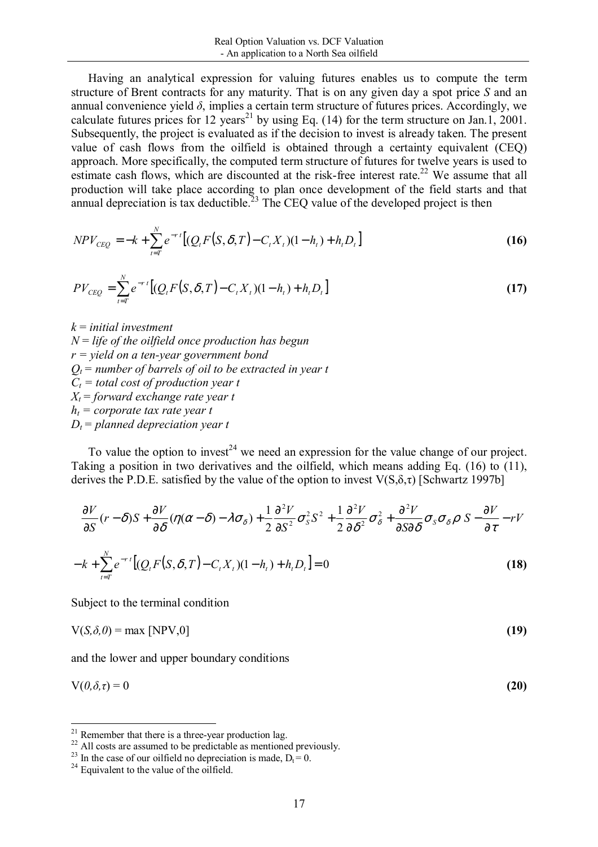Having an analytical expression for valuing futures enables us to compute the term structure of Brent contracts for any maturity. That is on any given day a spot price *S* and an annual convenience yield  $\delta$ , implies a certain term structure of futures prices. Accordingly, we calculate futures prices for 12 years<sup>21</sup> by using Eq. (14) for the term structure on Jan.1, 2001. Subsequently, the project is evaluated as if the decision to invest is already taken. The present value of cash flows from the oilfield is obtained through a certainty equivalent (CEQ) approach. More specifically, the computed term structure of futures for twelve years is used to estimate cash flows, which are discounted at the risk-free interest rate.<sup>22</sup> We assume that all production will take place according to plan once development of the field starts and that annual depreciation is tax deductible.<sup>23</sup> The CEQ value of the developed project is then

$$
NPV_{CEQ} = -k + \sum_{t=T}^{N} e^{-rt} [(Q_t F(S, \delta, T) - C_t X_t)(1 - h_t) + h_t D_t]
$$
\n(16)

$$
PV_{CEQ} = \sum_{t=T}^{N} e^{-rt} \left[ (Q_t F(S, \delta, T) - C_t X_t)(1 - h_t) + h_t D_t \right]
$$
(17)

*k* = *initial investment N* = *life of the oilfield once production has begun r = yield on a ten-year government bond*   $Q_t$  = number of barrels of oil to be extracted in year t  $C_t$  = total cost of production year t  $X_t$  = forward exchange rate year t  $h_t$  = corporate tax rate year t  $D_t$  = planned depreciation year t

To value the option to invest<sup>24</sup> we need an expression for the value change of our project. Taking a position in two derivatives and the oilfield, which means adding Eq. (16) to (11), derives the P.D.E. satisfied by the value of the option to invest  $V(S,\delta,\tau)$  [Schwartz 1997b]

$$
\frac{\partial V}{\partial S}(r-\delta)S + \frac{\partial V}{\partial \delta}(\eta(\alpha-\delta) - \lambda \sigma_{\delta}) + \frac{1}{2}\frac{\partial^2 V}{\partial S^2}\sigma_{S}^2S^2 + \frac{1}{2}\frac{\partial^2 V}{\partial \delta^2}\sigma_{\delta}^2 + \frac{\partial^2 V}{\partial S\partial \delta}\sigma_{S}\sigma_{\delta}\rho S - \frac{\partial V}{\partial \tau} - rV
$$
  

$$
-k + \sum_{t=T}^{N} e^{-rt}[(Q_t F(S, \delta, T) - C_t X_t)(1 - h_t) + h_t D_t] = 0
$$
 (18)

Subject to the terminal condition

$$
V(S, \delta, 0) = \max [NPV, 0]
$$
 (19)

and the lower and upper boundary conditions

$$
V(\theta, \delta, \tau) = 0 \tag{20}
$$

<sup>&</sup>lt;sup>21</sup> Remember that there is a three-year production lag.

 $22$  All costs are assumed to be predictable as mentioned previously.

<sup>&</sup>lt;sup>23</sup> In the case of our oilfield no depreciation is made,  $D_t = 0$ .<br><sup>24</sup> Equivalent to the value of the oilfield.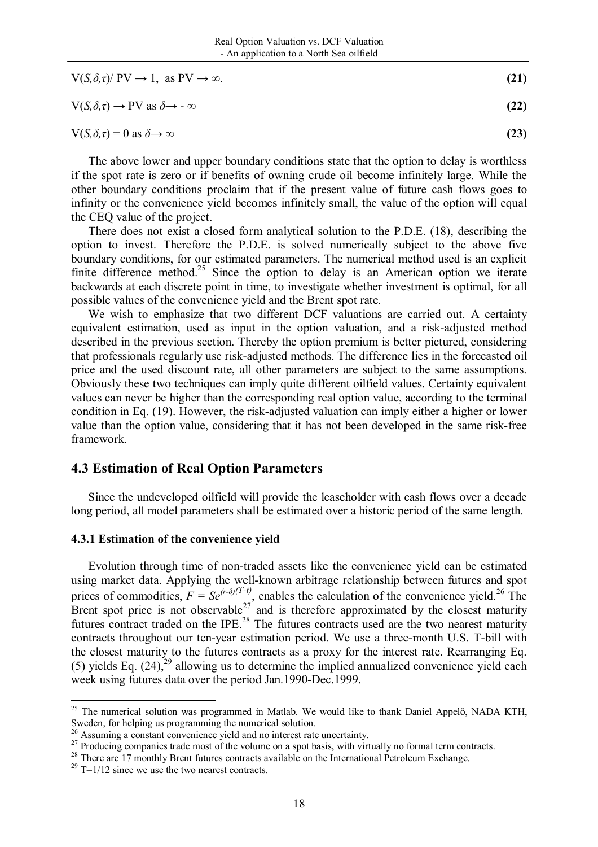| $V(S, \delta, \tau) / PV \rightarrow 1$ , as $PV \rightarrow \infty$ . |  |  |  |
|------------------------------------------------------------------------|--|--|--|
|------------------------------------------------------------------------|--|--|--|

$$
V(S,\delta,\tau) \to PV \text{ as } \delta \to -\infty \tag{22}
$$

 $V(S, \delta, \tau) = 0$  as  $\delta \rightarrow \infty$  (23)

The above lower and upper boundary conditions state that the option to delay is worthless if the spot rate is zero or if benefits of owning crude oil become infinitely large. While the other boundary conditions proclaim that if the present value of future cash flows goes to infinity or the convenience yield becomes infinitely small, the value of the option will equal the CEQ value of the project.

There does not exist a closed form analytical solution to the P.D.E. (18), describing the option to invest. Therefore the P.D.E. is solved numerically subject to the above five boundary conditions, for our estimated parameters. The numerical method used is an explicit finite difference method.<sup>25</sup> Since the option to delay is an American option we iterate backwards at each discrete point in time, to investigate whether investment is optimal, for all possible values of the convenience yield and the Brent spot rate.

We wish to emphasize that two different DCF valuations are carried out. A certainty equivalent estimation, used as input in the option valuation, and a risk-adjusted method described in the previous section. Thereby the option premium is better pictured, considering that professionals regularly use risk-adjusted methods. The difference lies in the forecasted oil price and the used discount rate, all other parameters are subject to the same assumptions. Obviously these two techniques can imply quite different oilfield values. Certainty equivalent values can never be higher than the corresponding real option value, according to the terminal condition in Eq. (19). However, the risk-adjusted valuation can imply either a higher or lower value than the option value, considering that it has not been developed in the same risk-free framework.

#### **4.3 Estimation of Real Option Parameters**

Since the undeveloped oilfield will provide the leaseholder with cash flows over a decade long period, all model parameters shall be estimated over a historic period of the same length.

#### **4.3.1 Estimation of the convenience yield**

Evolution through time of non-traded assets like the convenience yield can be estimated using market data. Applying the well-known arbitrage relationship between futures and spot prices of commodities,  $F = Se^{(r-\delta)(T-t)}$ , enables the calculation of the convenience yield.<sup>26</sup> The Brent spot price is not observable<sup>27</sup> and is therefore approximated by the closest maturity futures contract traded on the IPE.<sup>28</sup> The futures contracts used are the two nearest maturity contracts throughout our ten-year estimation period. We use a three-month U.S. T-bill with the closest maturity to the futures contracts as a proxy for the interest rate. Rearranging Eq. (5) yields Eq.  $(24)$ ,<sup>29</sup> allowing us to determine the implied annualized convenience yield each week using futures data over the period Jan.1990-Dec.1999.

<sup>&</sup>lt;sup>25</sup> The numerical solution was programmed in Matlab. We would like to thank Daniel Appelö, NADA KTH, Sweden, for helping us programming the numerical solution.

<sup>&</sup>lt;sup>26</sup> Assuming a constant convenience yield and no interest rate uncertainty.

<sup>&</sup>lt;sup>27</sup> Producing companies trade most of the volume on a spot basis, with virtually no formal term contracts.

<sup>&</sup>lt;sup>28</sup> There are 17 monthly Brent futures contracts available on the International Petroleum Exchange.

 $29$  T=1/12 since we use the two nearest contracts.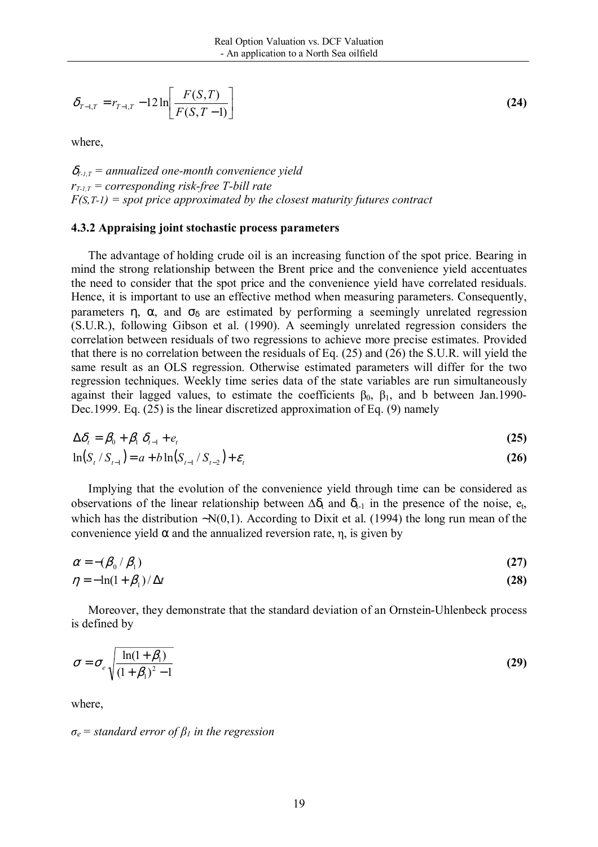$$
\delta_{T-1,T} = r_{T-1,T} - 12 \ln \left[ \frac{F(S,T)}{F(S,T-1)} \right]
$$
\n(24)

where,

 $\delta_{T-1,T}$  = annualized one-month convenience yield  $r_{T-1,T}$  = corresponding risk-free T-bill rate *F(S,T-1) = spot price approximated by the closest maturity futures contract* 

#### **4.3.2 Appraising joint stochastic process parameters**

The advantage of holding crude oil is an increasing function of the spot price. Bearing in mind the strong relationship between the Brent price and the convenience yield accentuates the need to consider that the spot price and the convenience yield have correlated residuals. Hence, it is important to use an effective method when measuring parameters. Consequently, parameters  $\eta$ ,  $\alpha$ , and  $\sigma_{\delta}$  are estimated by performing a seemingly unrelated regression (S.U.R.), following Gibson et al. (1990). A seemingly unrelated regression considers the correlation between residuals of two regressions to achieve more precise estimates. Provided that there is no correlation between the residuals of Eq. (25) and (26) the S.U.R. will yield the same result as an OLS regression. Otherwise estimated parameters will differ for the two regression techniques. Weekly time series data of the state variables are run simultaneously against their lagged values, to estimate the coefficients  $\beta_0$ ,  $\beta_1$ , and b between Jan.1990-Dec.1999. Eq. (25) is the linear discretized approximation of Eq. (9) namely

$$
\Delta \delta_t = \beta_0 + \beta_1 \delta_{t-1} + e_t
$$
\n
$$
\ln(S_t / S_{t-1}) = a + b \ln(S_{t-1} / S_{t-2}) + \varepsilon_t
$$
\n(25)

Implying that the evolution of the convenience yield through time can be considered as observations of the linear relationship between  $\Delta \delta_t$  and  $\delta_{t-1}$  in the presence of the noise,  $e_t$ , which has the distribution ∼N(0,1). According to Dixit et al. (1994) the long run mean of the convenience yield  $\alpha$  and the annualized reversion rate,  $\eta$ , is given by

$$
\alpha = -(\beta_0 / \beta_1) \tag{27}
$$
  
\n
$$
\eta = -\ln(1 + \beta_1) / \Delta t \tag{28}
$$

Moreover, they demonstrate that the standard deviation of an Ornstein-Uhlenbeck process is defined by

$$
\sigma = \sigma_e \sqrt{\frac{\ln(1+\beta_1)}{(1+\beta_1)^2 - 1}}
$$
\n(29)

where,

*σe = standard error of β1 in the regression*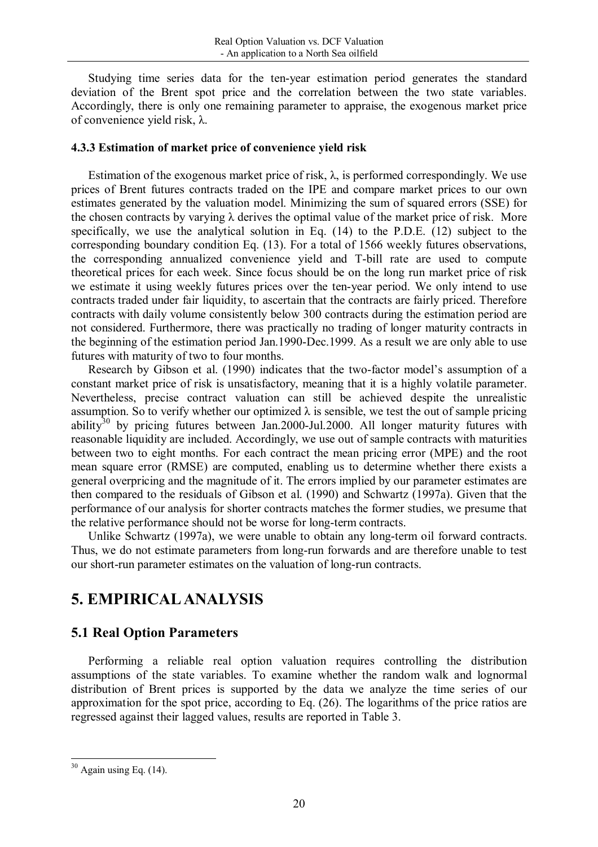Studying time series data for the ten-year estimation period generates the standard deviation of the Brent spot price and the correlation between the two state variables. Accordingly, there is only one remaining parameter to appraise, the exogenous market price of convenience yield risk, λ.

#### **4.3.3 Estimation of market price of convenience yield risk**

Estimation of the exogenous market price of risk,  $\lambda$ , is performed correspondingly. We use prices of Brent futures contracts traded on the IPE and compare market prices to our own estimates generated by the valuation model. Minimizing the sum of squared errors (SSE) for the chosen contracts by varying  $\lambda$  derives the optimal value of the market price of risk. More specifically, we use the analytical solution in Eq. (14) to the P.D.E. (12) subject to the corresponding boundary condition Eq. (13). For a total of 1566 weekly futures observations, the corresponding annualized convenience yield and T-bill rate are used to compute theoretical prices for each week. Since focus should be on the long run market price of risk we estimate it using weekly futures prices over the ten-year period. We only intend to use contracts traded under fair liquidity, to ascertain that the contracts are fairly priced. Therefore contracts with daily volume consistently below 300 contracts during the estimation period are not considered. Furthermore, there was practically no trading of longer maturity contracts in the beginning of the estimation period Jan.1990-Dec.1999. As a result we are only able to use futures with maturity of two to four months.

Research by Gibson et al. (1990) indicates that the two-factor model's assumption of a constant market price of risk is unsatisfactory, meaning that it is a highly volatile parameter. Nevertheless, precise contract valuation can still be achieved despite the unrealistic assumption. So to verify whether our optimized  $\lambda$  is sensible, we test the out of sample pricing ability<sup>30</sup> by pricing futures between Jan. 2000-Jul. 2000. All longer maturity futures with reasonable liquidity are included. Accordingly, we use out of sample contracts with maturities between two to eight months. For each contract the mean pricing error (MPE) and the root mean square error (RMSE) are computed, enabling us to determine whether there exists a general overpricing and the magnitude of it. The errors implied by our parameter estimates are then compared to the residuals of Gibson et al. (1990) and Schwartz (1997a). Given that the performance of our analysis for shorter contracts matches the former studies, we presume that the relative performance should not be worse for long-term contracts.

Unlike Schwartz (1997a), we were unable to obtain any long-term oil forward contracts. Thus, we do not estimate parameters from long-run forwards and are therefore unable to test our short-run parameter estimates on the valuation of long-run contracts.

# **5. EMPIRICAL ANALYSIS**

# **5.1 Real Option Parameters**

Performing a reliable real option valuation requires controlling the distribution assumptions of the state variables. To examine whether the random walk and lognormal distribution of Brent prices is supported by the data we analyze the time series of our approximation for the spot price, according to Eq. (26). The logarithms of the price ratios are regressed against their lagged values, results are reported in Table 3.

  $30$  Again using Eq. (14).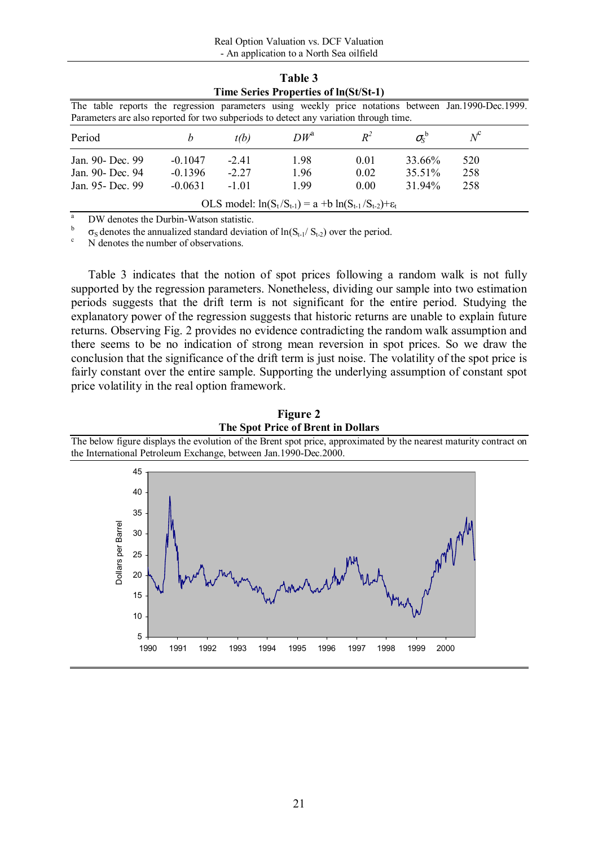| Time Series Properties of $ln(St/St-1)$                                                                 |           |         |      |      |        |     |  |  |  |  |
|---------------------------------------------------------------------------------------------------------|-----------|---------|------|------|--------|-----|--|--|--|--|
| The table reports the regression parameters using weekly price notations between Jan.1990-Dec.1999.     |           |         |      |      |        |     |  |  |  |  |
| Parameters are also reported for two subperiods to detect any variation through time.                   |           |         |      |      |        |     |  |  |  |  |
| $N^{\mathcal{C}}$<br>$R^2$<br>$\sigma_{\! \rm c}^{\rm b}$<br>$DW^{\mathfrak{a}}$<br>Period<br>t(b)<br>h |           |         |      |      |        |     |  |  |  |  |
| Jan. 90- Dec. 99                                                                                        | $-0.1047$ | $-241$  | 1.98 | 0.01 | 33.66% | 520 |  |  |  |  |
| Jan. 90- Dec. 94                                                                                        | $-0.1396$ | $-227$  | 1.96 | 0.02 | 35.51% | 258 |  |  |  |  |
| Jan. 95 - Dec. 99                                                                                       | $-0.0631$ | $-1.01$ | 1.99 | 0.00 | 31.94% | 258 |  |  |  |  |
| OLS model: $ln(S_t/S_{t-1}) = a + b ln(S_{t-1}/S_{t-2}) + \varepsilon_t$                                |           |         |      |      |        |     |  |  |  |  |
|                                                                                                         |           |         |      |      |        |     |  |  |  |  |

**Table 3**

 $\frac{a}{b}$  DW denotes the Durbin-Watson statistic.

 $\sigma_S$  denotes the annualized standard deviation of ln(S<sub>t-1</sub>/ S<sub>t-2</sub>) over the period. N denotes the number of observations.

Table 3 indicates that the notion of spot prices following a random walk is not fully supported by the regression parameters. Nonetheless, dividing our sample into two estimation periods suggests that the drift term is not significant for the entire period. Studying the explanatory power of the regression suggests that historic returns are unable to explain future returns. Observing Fig. 2 provides no evidence contradicting the random walk assumption and there seems to be no indication of strong mean reversion in spot prices. So we draw the conclusion that the significance of the drift term is just noise. The volatility of the spot price is fairly constant over the entire sample. Supporting the underlying assumption of constant spot price volatility in the real option framework.

**Figure 2 The Spot Price of Brent in Dollars** 

The below figure displays the evolution of the Brent spot price, approximated by the nearest maturity contract on the International Petroleum Exchange, between Jan.1990-Dec.2000.

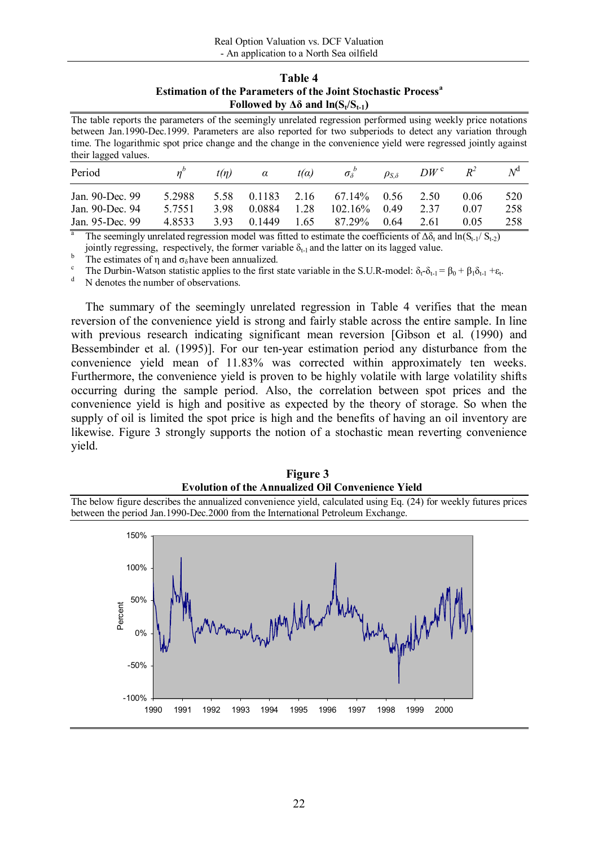| Table 4                                                                          |
|----------------------------------------------------------------------------------|
| <b>Estimation of the Parameters of the Joint Stochastic Process</b> <sup>a</sup> |
| Followed by $\Delta\delta$ and $\ln(S_t/S_{t-1})$                                |

The table reports the parameters of the seemingly unrelated regression performed using weekly price notations between Jan.1990-Dec.1999. Parameters are also reported for two subperiods to detect any variation through time. The logarithmic spot price change and the change in the convenience yield were regressed jointly against their lagged values.

| Period                             |                  | t(n)         | $\alpha$         | $t(\alpha)$  | $\sigma_{\delta}^{\ b}$   | $\rho_{S,\delta}$ | $DW^{\text{c}}$ | $\boldsymbol{R}^2$ | $N^{\alpha}$ |
|------------------------------------|------------------|--------------|------------------|--------------|---------------------------|-------------------|-----------------|--------------------|--------------|
| Jan. 90-Dec. 99<br>Jan. 90-Dec. 94 | 5.2988<br>5.7551 | 5.58<br>3.98 | 0.1183<br>0.0884 | 2.16<br>1.28 | 67.14% 0.56<br>$102.16\%$ | 0.49              | 2.50<br>2 3 7   | 0.06<br>0.07       | 520<br>258   |
| Jan. 95-Dec. 99                    | 48533            | 3.93         | 0 1449           | 1.65         | 87.29%                    | 0.64              | 2.61            | 0.05               | 258          |

The seemingly unrelated regression model was fitted to estimate the coefficients of  $\Delta \delta_t$  and ln(S<sub>t-1</sub>/ S<sub>t-2</sub>)

jointly regressing, respectively, the former variable  $\delta_{t-1}$  and the latter on its lagged value. b

The estimates of  $\eta$  and  $\sigma_{\delta}$  have been annualized.

<sup>c</sup> The Durbin-Watson statistic applies to the first state variable in the S.U.R-model:  $\delta_t - \delta_{t-1} = \beta_0 + \beta_1 \delta_{t-1} + \varepsilon_t$ .

N denotes the number of observations.

The summary of the seemingly unrelated regression in Table 4 verifies that the mean reversion of the convenience yield is strong and fairly stable across the entire sample. In line with previous research indicating significant mean reversion [Gibson et al. (1990) and Bessembinder et al. (1995)]. For our ten-year estimation period any disturbance from the convenience yield mean of 11.83% was corrected within approximately ten weeks. Furthermore, the convenience yield is proven to be highly volatile with large volatility shifts occurring during the sample period. Also, the correlation between spot prices and the convenience yield is high and positive as expected by the theory of storage. So when the supply of oil is limited the spot price is high and the benefits of having an oil inventory are likewise. Figure 3 strongly supports the notion of a stochastic mean reverting convenience yield.

**Figure 3 Evolution of the Annualized Oil Convenience Yield**

The below figure describes the annualized convenience yield, calculated using Eq. (24) for weekly futures prices between the period Jan.1990-Dec.2000 from the International Petroleum Exchange.

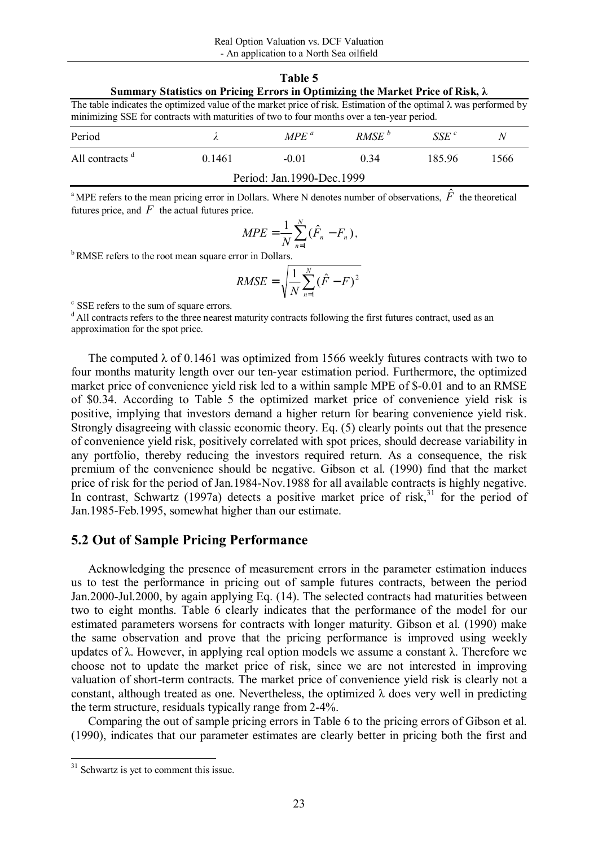| Table 5                                                                                |
|----------------------------------------------------------------------------------------|
| Summary Statistics on Pricing Errors in Optimizing the Market Price of Risk, $\lambda$ |

The table indicates the optimized value of the market price of risk. Estimation of the optimal  $\lambda$  was performed by minimizing SSE for contracts with maturities of two to four months over a ten-year period.

| Period                      |        | $MPE^a$ | RMSE <sup>b</sup> | SSE <sup>c</sup> | Λ    |  |  |  |  |
|-----------------------------|--------|---------|-------------------|------------------|------|--|--|--|--|
| All contracts <sup>d</sup>  | 0.1461 | $-0.01$ | 0.34              | 185.96           | 1566 |  |  |  |  |
| Period: Jan. 1990-Dec. 1999 |        |         |                   |                  |      |  |  |  |  |

<sup>a</sup> MPE refers to the mean pricing error in Dollars. Where N denotes number of observations,  $\hat{F}$  the theoretical futures price, and  $F$  the actual futures price.

$$
MPE = \frac{1}{N} \sum_{n=1}^{N} (\hat{F}_n - F_n),
$$

<sup>b</sup> RMSE refers to the root mean square error in Dollars.

$$
RMSE = \sqrt{\frac{1}{N} \sum_{n=1}^{N} (\hat{F} - F)^2}
$$

c SSE refers to the sum of square errors.

<sup>d</sup> All contracts refers to the three nearest maturity contracts following the first futures contract, used as an approximation for the spot price.

The computed  $\lambda$  of 0.1461 was optimized from 1566 weekly futures contracts with two to four months maturity length over our ten-year estimation period. Furthermore, the optimized market price of convenience yield risk led to a within sample MPE of \$-0.01 and to an RMSE of \$0.34. According to Table 5 the optimized market price of convenience yield risk is positive, implying that investors demand a higher return for bearing convenience yield risk. Strongly disagreeing with classic economic theory. Eq. (5) clearly points out that the presence of convenience yield risk, positively correlated with spot prices, should decrease variability in any portfolio, thereby reducing the investors required return. As a consequence, the risk premium of the convenience should be negative. Gibson et al. (1990) find that the market price of risk for the period of Jan.1984-Nov.1988 for all available contracts is highly negative. In contrast, Schwartz (1997a) detects a positive market price of risk, $31$  for the period of Jan.1985-Feb.1995, somewhat higher than our estimate.

#### **5.2 Out of Sample Pricing Performance**

Acknowledging the presence of measurement errors in the parameter estimation induces us to test the performance in pricing out of sample futures contracts, between the period Jan.2000-Jul.2000, by again applying Eq. (14). The selected contracts had maturities between two to eight months. Table 6 clearly indicates that the performance of the model for our estimated parameters worsens for contracts with longer maturity. Gibson et al. (1990) make the same observation and prove that the pricing performance is improved using weekly updates of  $\lambda$ . However, in applying real option models we assume a constant  $\lambda$ . Therefore we choose not to update the market price of risk, since we are not interested in improving valuation of short-term contracts. The market price of convenience yield risk is clearly not a constant, although treated as one. Nevertheless, the optimized  $\lambda$  does very well in predicting the term structure, residuals typically range from 2-4%.

Comparing the out of sample pricing errors in Table 6 to the pricing errors of Gibson et al. (1990), indicates that our parameter estimates are clearly better in pricing both the first and

 $31$  Schwartz is yet to comment this issue.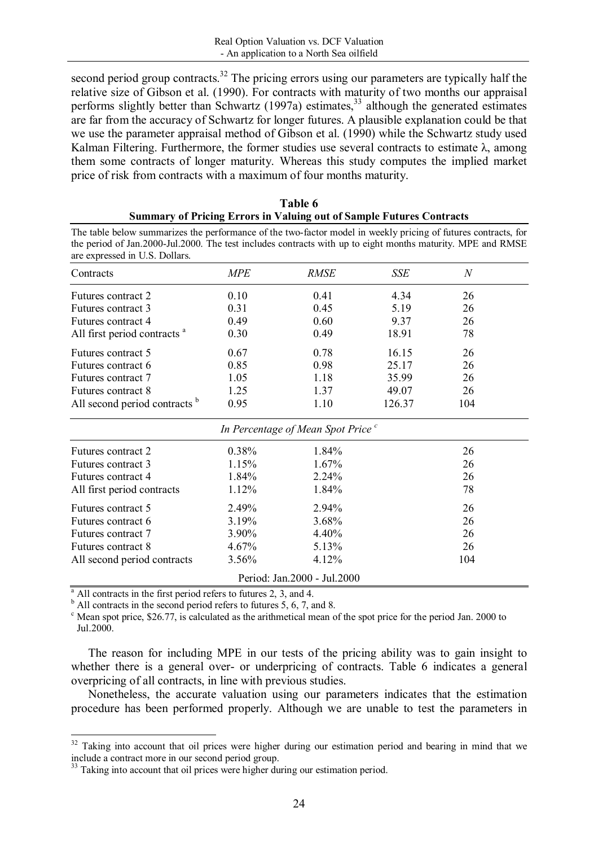second period group contracts.<sup>32</sup> The pricing errors using our parameters are typically half the relative size of Gibson et al. (1990). For contracts with maturity of two months our appraisal performs slightly better than Schwartz  $(1997a)$  estimates,<sup>33</sup> although the generated estimates are far from the accuracy of Schwartz for longer futures. A plausible explanation could be that we use the parameter appraisal method of Gibson et al. (1990) while the Schwartz study used Kalman Filtering. Furthermore, the former studies use several contracts to estimate  $\lambda$ , among them some contracts of longer maturity. Whereas this study computes the implied market price of risk from contracts with a maximum of four months maturity.

**Table 6**  $\overline{a}$ 

| <b>Summary of Pricing Errors in Valuing out of Sample Futures Contracts</b>                                                                                                                                                                                     |            | Table 6                                       |            |                |  |
|-----------------------------------------------------------------------------------------------------------------------------------------------------------------------------------------------------------------------------------------------------------------|------------|-----------------------------------------------|------------|----------------|--|
| The table below summarizes the performance of the two-factor model in weekly pricing of futures contracts, for<br>the period of Jan.2000-Jul.2000. The test includes contracts with up to eight months maturity. MPE and RMSE<br>are expressed in U.S. Dollars. |            |                                               |            |                |  |
| Contracts                                                                                                                                                                                                                                                       | <b>MPE</b> | <b>RMSE</b>                                   | <b>SSE</b> | $\overline{N}$ |  |
| Futures contract 2                                                                                                                                                                                                                                              | 0.10       | 0.41                                          | 4.34       | 26             |  |
| Futures contract 3                                                                                                                                                                                                                                              | 0.31       | 0.45                                          | 5.19       | 26             |  |
| Futures contract 4                                                                                                                                                                                                                                              | 0.49       | 0.60                                          | 9.37       | 26             |  |
| All first period contracts <sup>a</sup>                                                                                                                                                                                                                         | 0.30       | 0.49                                          | 18.91      | 78             |  |
| Futures contract 5                                                                                                                                                                                                                                              | 0.67       | 0.78                                          | 16.15      | 26             |  |
| Futures contract 6                                                                                                                                                                                                                                              | 0.85       | 0.98                                          | 25.17      | 26             |  |
| Futures contract 7                                                                                                                                                                                                                                              | 1.05       | 1.18                                          | 35.99      | 26             |  |
| Futures contract 8                                                                                                                                                                                                                                              | 1.25       | 1.37                                          | 49.07      | 26             |  |
| All second period contracts b                                                                                                                                                                                                                                   | 0.95       | 1.10                                          | 126.37     | 104            |  |
|                                                                                                                                                                                                                                                                 |            | In Percentage of Mean Spot Price <sup>c</sup> |            |                |  |
| Futures contract 2                                                                                                                                                                                                                                              | 0.38%      | 1.84%                                         |            | 26             |  |
| Futures contract 3                                                                                                                                                                                                                                              | 1.15%      | 1.67%                                         |            | 26             |  |
| Futures contract 4                                                                                                                                                                                                                                              | 1.84%      | 2.24%                                         |            | 26             |  |
| All first period contracts                                                                                                                                                                                                                                      | 1.12%      | 1.84%                                         |            | 78             |  |
| Futures contract 5                                                                                                                                                                                                                                              | 2.49%      | 2.94%                                         |            | 26             |  |
| Futures contract 6                                                                                                                                                                                                                                              | 3.19%      | 3.68%                                         |            | 26             |  |

 $^{\circ}$  All contracts in the first period refers to futures 2, 3, and 4.

<sup>b</sup> All contracts in the second period refers to futures 5, 6, 7, and 8.

 $\degree$  Mean spot price, \$26.77, is calculated as the arithmetical mean of the spot price for the period Jan. 2000 to Jul.2000.

Period: Jan.2000 - Jul.2000

Futures contract 7 3.90% 4.40% 26 Futures contract 8 4.67% 5.13% 5.13% 26 All second period contracts  $3.56\%$  4.12% 104

The reason for including MPE in our tests of the pricing ability was to gain insight to whether there is a general over- or underpricing of contracts. Table 6 indicates a general overpricing of all contracts, in line with previous studies.

Nonetheless, the accurate valuation using our parameters indicates that the estimation procedure has been performed properly. Although we are unable to test the parameters in

 $32$  Taking into account that oil prices were higher during our estimation period and bearing in mind that we include a contract more in our second period group.

<sup>&</sup>lt;sup>33</sup> Taking into account that oil prices were higher during our estimation period.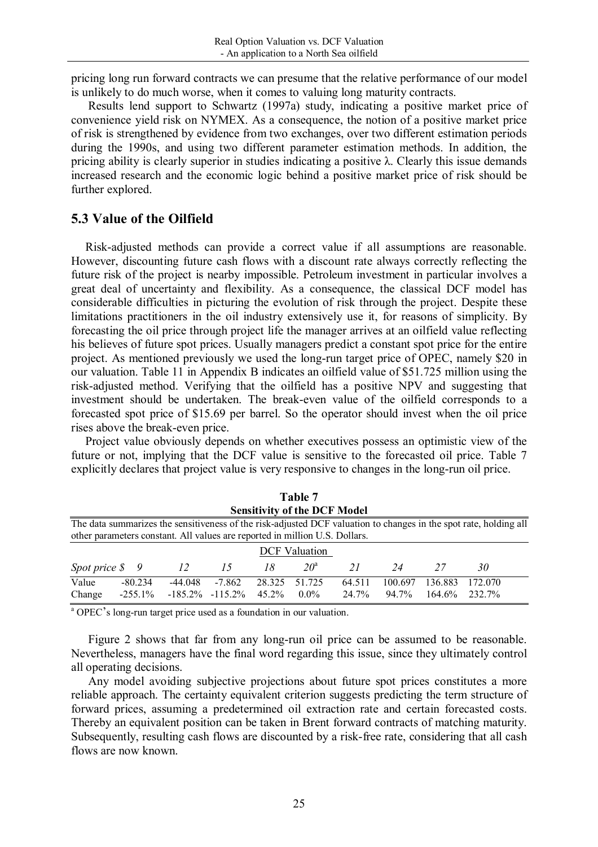pricing long run forward contracts we can presume that the relative performance of our model is unlikely to do much worse, when it comes to valuing long maturity contracts.

Results lend support to Schwartz (1997a) study, indicating a positive market price of convenience yield risk on NYMEX. As a consequence, the notion of a positive market price of risk is strengthened by evidence from two exchanges, over two different estimation periods during the 1990s, and using two different parameter estimation methods. In addition, the pricing ability is clearly superior in studies indicating a positive  $\lambda$ . Clearly this issue demands increased research and the economic logic behind a positive market price of risk should be further explored.

## **5.3 Value of the Oilfield**

Risk-adjusted methods can provide a correct value if all assumptions are reasonable. However, discounting future cash flows with a discount rate always correctly reflecting the future risk of the project is nearby impossible. Petroleum investment in particular involves a great deal of uncertainty and flexibility. As a consequence, the classical DCF model has considerable difficulties in picturing the evolution of risk through the project. Despite these limitations practitioners in the oil industry extensively use it, for reasons of simplicity. By forecasting the oil price through project life the manager arrives at an oilfield value reflecting his believes of future spot prices. Usually managers predict a constant spot price for the entire project. As mentioned previously we used the long-run target price of OPEC, namely \$20 in our valuation. Table 11 in Appendix B indicates an oilfield value of \$51.725 million using the risk-adjusted method. Verifying that the oilfield has a positive NPV and suggesting that investment should be undertaken. The break-even value of the oilfield corresponds to a forecasted spot price of \$15.69 per barrel. So the operator should invest when the oil price rises above the break-even price.

Project value obviously depends on whether executives possess an optimistic view of the future or not, implying that the DCF value is sensitive to the forecasted oil price. Table 7 explicitly declares that project value is very responsive to changes in the long-run oil price.

|                                                                                                                                                                                                  | Table 7                             |                         |                        |                     |                   |                 |                  |                   |                   |  |
|--------------------------------------------------------------------------------------------------------------------------------------------------------------------------------------------------|-------------------------------------|-------------------------|------------------------|---------------------|-------------------|-----------------|------------------|-------------------|-------------------|--|
|                                                                                                                                                                                                  | <b>Sensitivity of the DCF Model</b> |                         |                        |                     |                   |                 |                  |                   |                   |  |
| The data summarizes the sensitiveness of the risk-adjusted DCF valuation to changes in the spot rate, holding all<br>other parameters constant. All values are reported in million U.S. Dollars. |                                     |                         |                        |                     |                   |                 |                  |                   |                   |  |
|                                                                                                                                                                                                  | <b>DCF</b> Valuation                |                         |                        |                     |                   |                 |                  |                   |                   |  |
| Spot price $\hat{S}$ 9                                                                                                                                                                           |                                     | 12                      | 15                     | 18                  | $20^{\circ}$      | 21              | 24               | 27                | 30                |  |
| Value<br>Change                                                                                                                                                                                  | $-80.234$<br>$-255.1\%$             | $-44.048$<br>$-185.2\%$ | $-7.862$<br>$-115.2\%$ | 28 3 25<br>$45.2\%$ | 51.725<br>$0.0\%$ | 64.511<br>24.7% | 100.697<br>94 7% | 136.883<br>164.6% | 172 070<br>232.7% |  |

<sup>a</sup> OPEC's long-run target price used as a foundation in our valuation.

 Figure 2 shows that far from any long-run oil price can be assumed to be reasonable. Nevertheless, managers have the final word regarding this issue, since they ultimately control all operating decisions.

 Any model avoiding subjective projections about future spot prices constitutes a more reliable approach. The certainty equivalent criterion suggests predicting the term structure of forward prices, assuming a predetermined oil extraction rate and certain forecasted costs. Thereby an equivalent position can be taken in Brent forward contracts of matching maturity. Subsequently, resulting cash flows are discounted by a risk-free rate, considering that all cash flows are now known.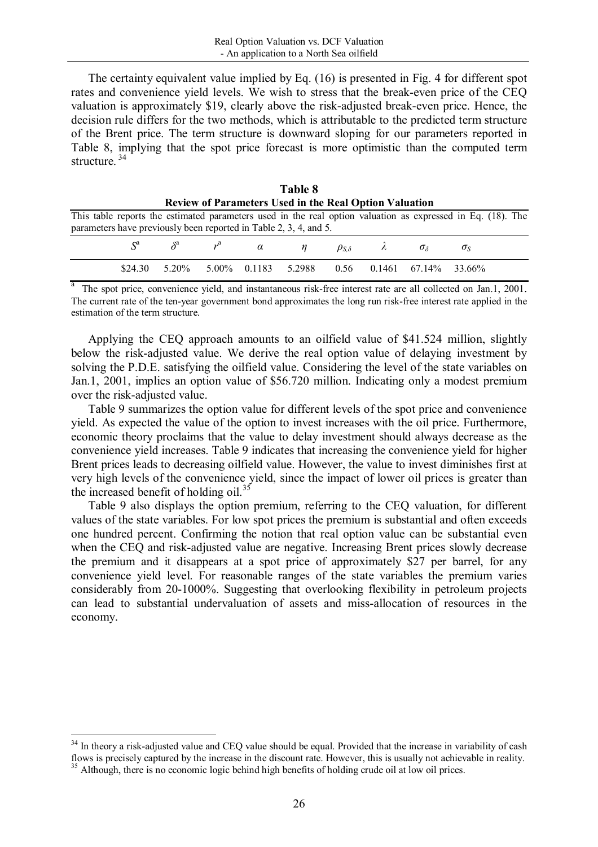The certainty equivalent value implied by Eq. (16) is presented in Fig. 4 for different spot rates and convenience yield levels. We wish to stress that the break-even price of the CEQ valuation is approximately \$19, clearly above the risk-adjusted break-even price. Hence, the decision rule differs for the two methods, which is attributable to the predicted term structure of the Brent price. The term structure is downward sloping for our parameters reported in Table 8, implying that the spot price forecast is more optimistic than the computed term structure. $34$ 

|                                                                                                                                                                                  |         |          |  |                     | Table 8                                |  |                                               |                                     |                  |  |
|----------------------------------------------------------------------------------------------------------------------------------------------------------------------------------|---------|----------|--|---------------------|----------------------------------------|--|-----------------------------------------------|-------------------------------------|------------------|--|
| <b>Review of Parameters Used in the Real Option Valuation</b>                                                                                                                    |         |          |  |                     |                                        |  |                                               |                                     |                  |  |
| This table reports the estimated parameters used in the real option valuation as expressed in Eq. (18). The<br>parameters have previously been reported in Table 2, 3, 4, and 5. |         |          |  |                     |                                        |  |                                               |                                     |                  |  |
|                                                                                                                                                                                  |         |          |  |                     | $S^a$ $\delta^a$ $r^a$ $\alpha$ $\eta$ |  | $\rho_{S,\delta}$ $\lambda$ $\sigma_{\delta}$ |                                     | $\sigma_{\rm S}$ |  |
|                                                                                                                                                                                  | \$24.30 | $5.20\%$ |  | 5.00% 0.1183 5.2988 |                                        |  |                                               | $0.56$ $0.1461$ $67.14\%$ $33.66\%$ |                  |  |

<sup>a</sup> The spot price, convenience yield, and instantaneous risk-free interest rate are all collected on Jan.1, 2001.<br>The current rate of the ten-year government bond approximates the long run risk-free interest rate applied estimation of the term structure.

 Applying the CEQ approach amounts to an oilfield value of \$41.524 million, slightly below the risk-adjusted value. We derive the real option value of delaying investment by solving the P.D.E. satisfying the oilfield value. Considering the level of the state variables on Jan.1, 2001, implies an option value of \$56.720 million. Indicating only a modest premium over the risk-adjusted value.

 Table 9 summarizes the option value for different levels of the spot price and convenience yield. As expected the value of the option to invest increases with the oil price. Furthermore, economic theory proclaims that the value to delay investment should always decrease as the convenience yield increases. Table 9 indicates that increasing the convenience yield for higher Brent prices leads to decreasing oilfield value. However, the value to invest diminishes first at very high levels of the convenience yield, since the impact of lower oil prices is greater than the increased benefit of holding oil.<sup>35</sup>

 Table 9 also displays the option premium, referring to the CEQ valuation, for different values of the state variables. For low spot prices the premium is substantial and often exceeds one hundred percent. Confirming the notion that real option value can be substantial even when the CEO and risk-adjusted value are negative. Increasing Brent prices slowly decrease the premium and it disappears at a spot price of approximately \$27 per barrel, for any convenience yield level. For reasonable ranges of the state variables the premium varies considerably from 20-1000%. Suggesting that overlooking flexibility in petroleum projects can lead to substantial undervaluation of assets and miss-allocation of resources in the economy.

 $34$  In theory a risk-adjusted value and CEQ value should be equal. Provided that the increase in variability of cash flows is precisely captured by the increase in the discount rate. However, this is usually not achievable in reality. <sup>35</sup> Although, there is no economic logic behind high benefits of holding crude oil at low oil prices.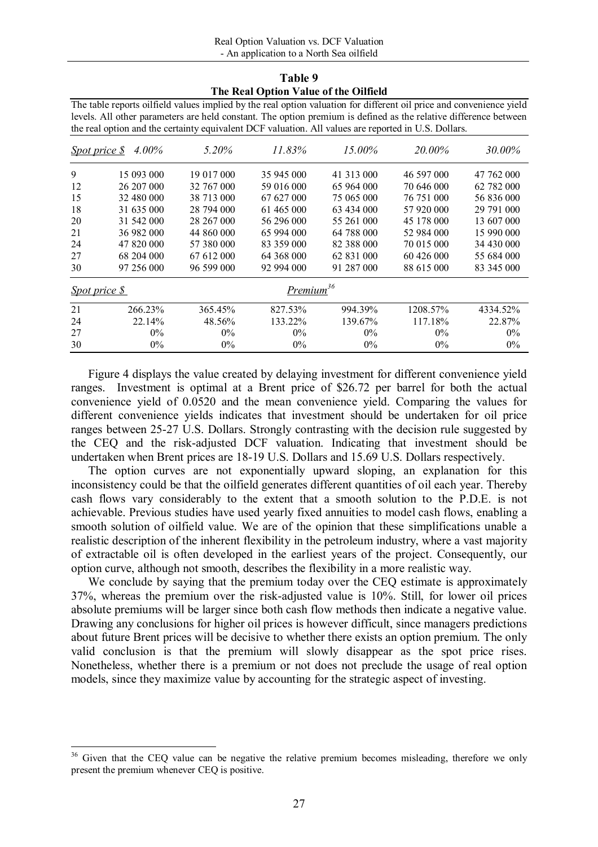**Table 9 The Real Option Value of the Oilfield** 

The table reports oilfield values implied by the real option valuation for different oil price and convenience yield levels. All other parameters are held constant. The option premium is defined as the relative difference between the real option and the certainty equivalent DCF valuation. All values are reported in U.S. Dollars.

| Spot price \$ | $4.00\%$   | 5.20%      | 11.83%                | 15.00%     | 20.00%     | 30.00%     |
|---------------|------------|------------|-----------------------|------------|------------|------------|
| 9             | 15 093 000 | 19 017 000 | 35 945 000            | 41 313 000 | 46 597 000 | 47 762 000 |
| 12            | 26 207 000 | 32 767 000 | 59 016 000            | 65 964 000 | 70 646 000 | 62 782 000 |
| 15            | 32 480 000 | 38 713 000 | 67 627 000            | 75 065 000 | 76 751 000 | 56 836 000 |
| 18            | 31 635 000 | 28 794 000 | 61 465 000            | 63 434 000 | 57 920 000 | 29 791 000 |
| 20            | 31 542 000 | 28 267 000 | 56 296 000            | 55 261 000 | 45 178 000 | 13 607 000 |
| 21            | 36 982 000 | 44 860 000 | 65 994 000            | 64 788 000 | 52 984 000 | 15 990 000 |
| 24            | 47 820 000 | 57 380 000 | 83 359 000            | 82 388 000 | 70 015 000 | 34 430 000 |
| 27            | 68 204 000 | 67 612 000 | 64 368 000            | 62 831 000 | 60 426 000 | 55 684 000 |
| 30            | 97 256 000 | 96 599 000 | 92 994 000            | 91 287 000 | 88 615 000 | 83 345 000 |
| Spot price \$ |            |            | Premium <sup>36</sup> |            |            |            |
| 21            | 266.23%    | 365.45%    | 827.53%               | 994.39%    | 1208.57%   | 4334.52%   |
| 24            | 22.14%     | 48.56%     | 133.22%               | 139.67%    | 117.18%    | 22.87%     |
| 27            | 0%         | 0%         | $0\%$                 | $0\%$      | $0\%$      | $0\%$      |
| 30            | $0\%$      | $0\%$      | $0\%$                 | $0\%$      | $0\%$      | 0%         |

 Figure 4 displays the value created by delaying investment for different convenience yield ranges. Investment is optimal at a Brent price of \$26.72 per barrel for both the actual convenience yield of 0.0520 and the mean convenience yield. Comparing the values for different convenience yields indicates that investment should be undertaken for oil price ranges between 25-27 U.S. Dollars. Strongly contrasting with the decision rule suggested by the CEQ and the risk-adjusted DCF valuation. Indicating that investment should be undertaken when Brent prices are 18-19 U.S. Dollars and 15.69 U.S. Dollars respectively.

 The option curves are not exponentially upward sloping, an explanation for this inconsistency could be that the oilfield generates different quantities of oil each year. Thereby cash flows vary considerably to the extent that a smooth solution to the P.D.E. is not achievable. Previous studies have used yearly fixed annuities to model cash flows, enabling a smooth solution of oilfield value. We are of the opinion that these simplifications unable a realistic description of the inherent flexibility in the petroleum industry, where a vast majority of extractable oil is often developed in the earliest years of the project. Consequently, our option curve, although not smooth, describes the flexibility in a more realistic way.

 We conclude by saying that the premium today over the CEQ estimate is approximately 37%, whereas the premium over the risk-adjusted value is 10%. Still, for lower oil prices absolute premiums will be larger since both cash flow methods then indicate a negative value. Drawing any conclusions for higher oil prices is however difficult, since managers predictions about future Brent prices will be decisive to whether there exists an option premium. The only valid conclusion is that the premium will slowly disappear as the spot price rises. Nonetheless, whether there is a premium or not does not preclude the usage of real option models, since they maximize value by accounting for the strategic aspect of investing.

 Given that the CEQ value can be negative the relative premium becomes misleading, therefore we only present the premium whenever CEQ is positive.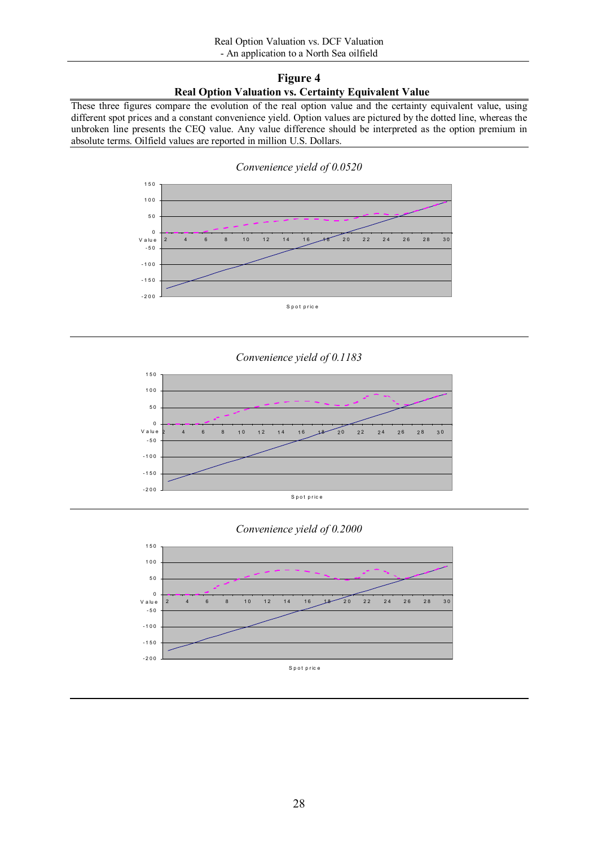#### **Figure 4 Real Option Valuation vs. Certainty Equivalent Value**

These three figures compare the evolution of the real option value and the certainty equivalent value, using different spot prices and a constant convenience yield. Option values are pictured by the dotted line, whereas the unbroken line presents the CEQ value. Any value difference should be interpreted as the option premium in absolute terms. Oilfield values are reported in million U.S. Dollars.



#### *Convenience yield of 0.0520*

#### *Convenience yield of 0.1183*



#### *Convenience yield of 0.2000*

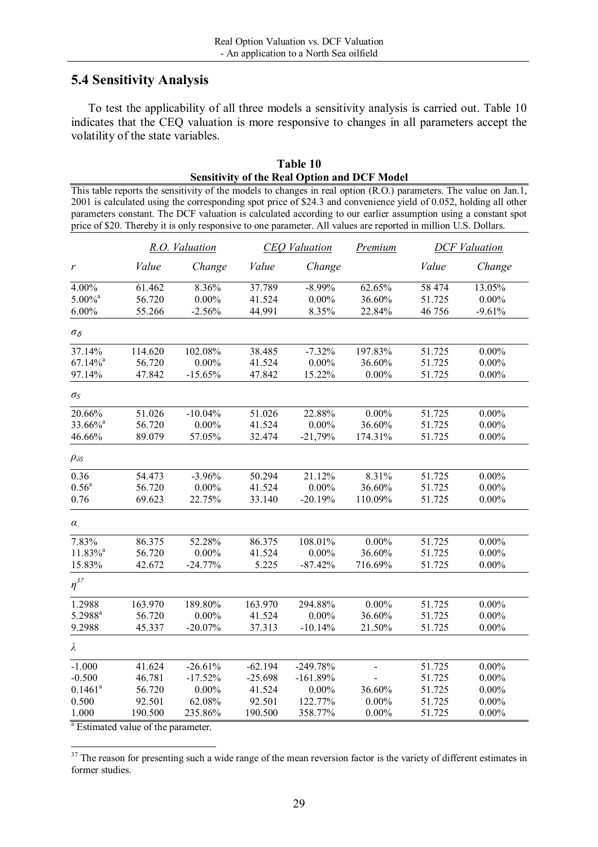# **5.4 Sensitivity Analysis**

To test the applicability of all three models a sensitivity analysis is carried out. Table 10 indicates that the CEQ valuation is more responsive to changes in all parameters accept the volatility of the state variables.

| Table 10<br><b>Sensitivity of the Real Option and DCF Model</b>                                                                                                                                                                        |                                                                                                                 |          |        |           |           |        |                                                                                                                |
|----------------------------------------------------------------------------------------------------------------------------------------------------------------------------------------------------------------------------------------|-----------------------------------------------------------------------------------------------------------------|----------|--------|-----------|-----------|--------|----------------------------------------------------------------------------------------------------------------|
| This table reports the sensitivity of the models to changes in real option (R.O.) parameters. The value on Jan.1,<br>2001 is calculated using the corresponding spot price of \$24.3 and convenience yield of 0.052, holding all other |                                                                                                                 |          |        |           |           |        |                                                                                                                |
|                                                                                                                                                                                                                                        | price of \$20. Thereby it is only responsive to one parameter. All values are reported in million U.S. Dollars. |          |        |           |           |        | parameters constant. The DCF valuation is calculated according to our earlier assumption using a constant spot |
| R.O. Valuation<br><b>CEO</b> Valuation<br><b>DCF</b> Valuation<br>Premium                                                                                                                                                              |                                                                                                                 |          |        |           |           |        |                                                                                                                |
| $\mathbf{r}$                                                                                                                                                                                                                           | Value                                                                                                           | Change   | Value  | Change    |           | Value  | Change                                                                                                         |
| $4.00\%$                                                                                                                                                                                                                               | 61.462                                                                                                          | $8.36\%$ | 37.789 | $-8.99\%$ | $62.65\%$ | 58 474 | 13.05%                                                                                                         |

| R.O. Valuation<br><b>CEO</b> Valuation                                                   | Premium  |        | <b>DCF</b> Valuation |
|------------------------------------------------------------------------------------------|----------|--------|----------------------|
| Value<br>Value<br>Change<br>Change<br>r                                                  |          | Value  | Change               |
| 37.789<br>$-8.99\%$<br>4.00%<br>61.462<br>8.36%                                          | 62.65%   | 58 474 | 13.05%               |
| $5.00\%$ <sup>a</sup><br>56.720<br>$0.00\%$<br>41.524<br>$0.00\%$                        | 36.60%   | 51.725 | $0.00\%$             |
| $6.00\%$<br>44.991<br>55.266<br>$-2.56%$<br>8.35%                                        | 22.84%   | 46 756 | $-9.61%$             |
| $\sigma_{\delta}$                                                                        |          |        |                      |
| 37.14%<br>114.620<br>102.08%<br>38.485<br>$-7.32%$                                       | 197.83%  | 51.725 | $0.00\%$             |
| $67.14\%$ <sup>a</sup><br>56.720<br>$0.00\%$<br>$0.00\%$<br>41.524                       | 36.60%   | 51.725 | $0.00\%$             |
| 97.14%<br>47.842<br>$-15.65%$<br>47.842<br>15.22%                                        | $0.00\%$ | 51.725 | $0.00\%$             |
| $\sigma_S$                                                                               |          |        |                      |
| 20.66%<br>$-10.04%$<br>22.88%<br>51.026<br>51.026                                        | $0.00\%$ | 51.725 | $0.00\%$             |
| 33.66% <sup>a</sup><br>$0.00\%$<br>41.524<br>56.720<br>$0.00\%$                          | 36.60%   | 51.725 | $0.00\%$             |
| 46.66%<br>89.079<br>57.05%<br>32.474<br>$-21,79%$                                        | 174.31%  | 51.725 | $0.00\%$             |
| $\rho_{\delta S}$                                                                        |          |        |                      |
| 21.12%<br>0.36<br>54.473<br>$-3.96%$<br>50.294                                           | 8.31%    | 51.725 | $0.00\%$             |
| $0.56^{\rm a}$<br>$0.00\%$<br>41.524<br>$0.00\%$<br>56.720                               | 36.60%   | 51.725 | $0.00\%$             |
| 0.76<br>22.75%<br>69.623<br>33.140<br>$-20.19%$                                          | 110.09%  | 51.725 | $0.00\%$             |
| $\alpha$                                                                                 |          |        |                      |
| 7.83%<br>86.375<br>52.28%<br>86.375<br>108.01%                                           | $0.00\%$ | 51.725 | $0.00\%$             |
| $11.83\%$ <sup>a</sup><br>56.720<br>$0.00\%$<br>41.524<br>$0.00\%$                       | 36.60%   | 51.725 | $0.00\%$             |
| 15.83%<br>$-24.77%$<br>5.225<br>$-87.42%$<br>42.672                                      | 716.69%  | 51.725 | $0.00\%$             |
| $\eta^{37}$                                                                              |          |        |                      |
| 189.80%<br>163.970<br>294.88%<br>1.2988<br>163.970                                       | $0.00\%$ | 51.725 | $0.00\%$             |
| 5.2988 <sup>a</sup><br>56.720<br>$0.00\%$<br>41.524<br>$0.00\%$                          | 36.60%   | 51.725 | $0.00\%$             |
| 9.2988<br>45.337<br>$-20.07%$<br>37.313<br>$-10.14%$                                     | 21.50%   | 51.725 | $0.00\%$             |
| λ                                                                                        |          |        |                      |
| $-26.61%$<br>$-249.78%$<br>$-1.000$<br>41.624<br>$-62.194$                               |          | 51.725 | $0.00\%$             |
| $-0.500$<br>46.781<br>$-17.52%$<br>$-25.698$<br>$-161.89%$                               |          | 51.725 | $0.00\%$             |
| $0.1461^a$<br>56.720<br>$0.00\%$<br>41.524<br>$0.00\%$                                   | 36.60%   | 51.725 | $0.00\%$             |
| 0.500<br>62.08%<br>92.501<br>92.501<br>122.77%                                           | 0.00%    | 51.725 | $0.00\%$             |
| 1.000<br>190.500<br>235.86%<br>190.500<br>358.77%<br>$a \rightarrow$<br>$\sim$ $\cdot$ 1 | $0.00\%$ | 51.725 | $0.00\%$             |

a Estimated value of the parameter.

 $37$  The reason for presenting such a wide range of the mean reversion factor is the variety of different estimates in former studies.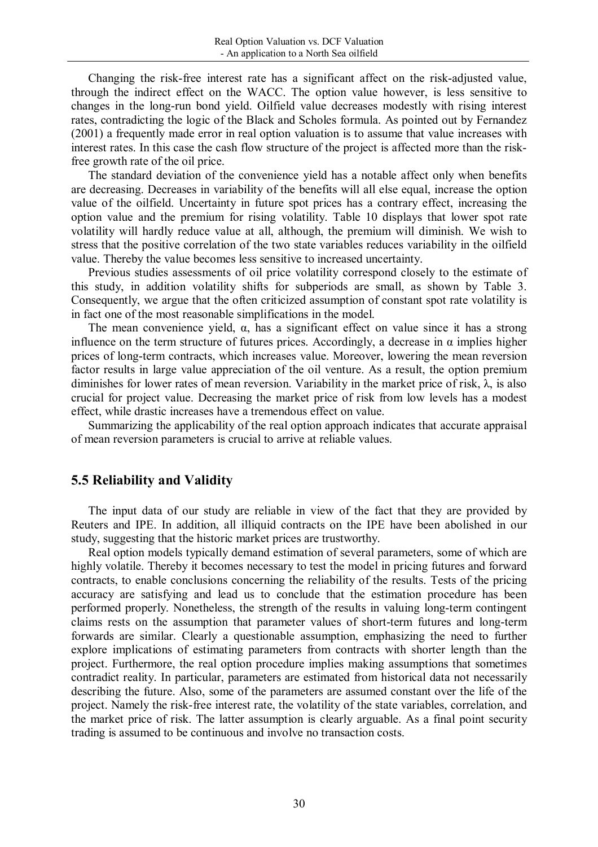Changing the risk-free interest rate has a significant affect on the risk-adjusted value, through the indirect effect on the WACC. The option value however, is less sensitive to changes in the long-run bond yield. Oilfield value decreases modestly with rising interest rates, contradicting the logic of the Black and Scholes formula. As pointed out by Fernandez (2001) a frequently made error in real option valuation is to assume that value increases with interest rates. In this case the cash flow structure of the project is affected more than the riskfree growth rate of the oil price.

 The standard deviation of the convenience yield has a notable affect only when benefits are decreasing. Decreases in variability of the benefits will all else equal, increase the option value of the oilfield. Uncertainty in future spot prices has a contrary effect, increasing the option value and the premium for rising volatility. Table 10 displays that lower spot rate volatility will hardly reduce value at all, although, the premium will diminish. We wish to stress that the positive correlation of the two state variables reduces variability in the oilfield value. Thereby the value becomes less sensitive to increased uncertainty.

 Previous studies assessments of oil price volatility correspond closely to the estimate of this study, in addition volatility shifts for subperiods are small, as shown by Table 3. Consequently, we argue that the often criticized assumption of constant spot rate volatility is in fact one of the most reasonable simplifications in the model.

The mean convenience yield,  $\alpha$ , has a significant effect on value since it has a strong influence on the term structure of futures prices. Accordingly, a decrease in  $\alpha$  implies higher prices of long-term contracts, which increases value. Moreover, lowering the mean reversion factor results in large value appreciation of the oil venture. As a result, the option premium diminishes for lower rates of mean reversion. Variability in the market price of risk,  $\lambda$ , is also crucial for project value. Decreasing the market price of risk from low levels has a modest effect, while drastic increases have a tremendous effect on value.

 Summarizing the applicability of the real option approach indicates that accurate appraisal of mean reversion parameters is crucial to arrive at reliable values.

# **5.5 Reliability and Validity**

The input data of our study are reliable in view of the fact that they are provided by Reuters and IPE. In addition, all illiquid contracts on the IPE have been abolished in our study, suggesting that the historic market prices are trustworthy.

Real option models typically demand estimation of several parameters, some of which are highly volatile. Thereby it becomes necessary to test the model in pricing futures and forward contracts, to enable conclusions concerning the reliability of the results. Tests of the pricing accuracy are satisfying and lead us to conclude that the estimation procedure has been performed properly. Nonetheless, the strength of the results in valuing long-term contingent claims rests on the assumption that parameter values of short-term futures and long-term forwards are similar. Clearly a questionable assumption, emphasizing the need to further explore implications of estimating parameters from contracts with shorter length than the project. Furthermore, the real option procedure implies making assumptions that sometimes contradict reality. In particular, parameters are estimated from historical data not necessarily describing the future. Also, some of the parameters are assumed constant over the life of the project. Namely the risk-free interest rate, the volatility of the state variables, correlation, and the market price of risk. The latter assumption is clearly arguable. As a final point security trading is assumed to be continuous and involve no transaction costs.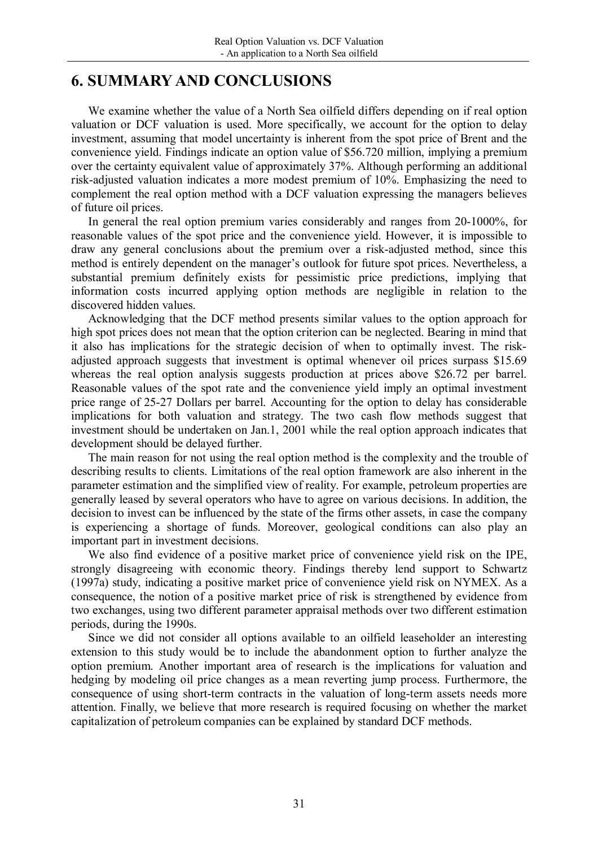# **6. SUMMARY AND CONCLUSIONS**

We examine whether the value of a North Sea oilfield differs depending on if real option valuation or DCF valuation is used. More specifically, we account for the option to delay investment, assuming that model uncertainty is inherent from the spot price of Brent and the convenience yield. Findings indicate an option value of \$56.720 million, implying a premium over the certainty equivalent value of approximately 37%. Although performing an additional risk-adjusted valuation indicates a more modest premium of 10%. Emphasizing the need to complement the real option method with a DCF valuation expressing the managers believes of future oil prices.

In general the real option premium varies considerably and ranges from 20-1000%, for reasonable values of the spot price and the convenience yield. However, it is impossible to draw any general conclusions about the premium over a risk-adjusted method, since this method is entirely dependent on the manager's outlook for future spot prices. Nevertheless, a substantial premium definitely exists for pessimistic price predictions, implying that information costs incurred applying option methods are negligible in relation to the discovered hidden values.

Acknowledging that the DCF method presents similar values to the option approach for high spot prices does not mean that the option criterion can be neglected. Bearing in mind that it also has implications for the strategic decision of when to optimally invest. The riskadjusted approach suggests that investment is optimal whenever oil prices surpass \$15.69 whereas the real option analysis suggests production at prices above \$26.72 per barrel. Reasonable values of the spot rate and the convenience yield imply an optimal investment price range of 25-27 Dollars per barrel. Accounting for the option to delay has considerable implications for both valuation and strategy. The two cash flow methods suggest that investment should be undertaken on Jan.1, 2001 while the real option approach indicates that development should be delayed further.

The main reason for not using the real option method is the complexity and the trouble of describing results to clients. Limitations of the real option framework are also inherent in the parameter estimation and the simplified view of reality. For example, petroleum properties are generally leased by several operators who have to agree on various decisions. In addition, the decision to invest can be influenced by the state of the firms other assets, in case the company is experiencing a shortage of funds. Moreover, geological conditions can also play an important part in investment decisions.

We also find evidence of a positive market price of convenience yield risk on the IPE, strongly disagreeing with economic theory. Findings thereby lend support to Schwartz (1997a) study, indicating a positive market price of convenience yield risk on NYMEX. As a consequence, the notion of a positive market price of risk is strengthened by evidence from two exchanges, using two different parameter appraisal methods over two different estimation periods, during the 1990s.

Since we did not consider all options available to an oilfield leaseholder an interesting extension to this study would be to include the abandonment option to further analyze the option premium. Another important area of research is the implications for valuation and hedging by modeling oil price changes as a mean reverting jump process. Furthermore, the consequence of using short-term contracts in the valuation of long-term assets needs more attention. Finally, we believe that more research is required focusing on whether the market capitalization of petroleum companies can be explained by standard DCF methods.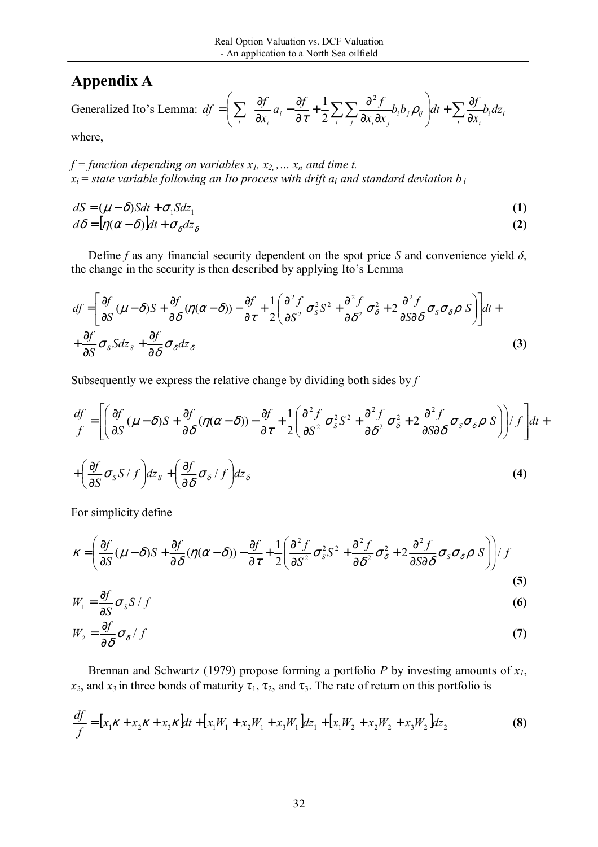# **Appendix A**

Generalized Ito's Lemma: 
$$
df = \left(\sum_{i} \frac{\partial f}{\partial x_i} a_i - \frac{\partial f}{\partial \tau} + \frac{1}{2} \sum_{i} \sum_{j} \frac{\partial^2 f}{\partial x_i \partial x_j} b_i b_j \rho_{ij}\right) dt + \sum_{i} \frac{\partial f}{\partial x_i} b_i dz_i
$$

where,

 $f =$  function depending on variables  $x_1, x_2, \ldots, x_n$  and time t.  $x_i$  = state variable following an Ito process with drift  $a_i$  and standard deviation  $b_i$ 

$$
dS = (\mu - \delta)Sdt + \sigma_1 Sdz_1
$$
  
\n
$$
d\delta = [\eta(\alpha - \delta)]dt + \sigma_{\delta} dz_{\delta}
$$
\n(1)

Define *f* as any financial security dependent on the spot price *S* and convenience yield  $\delta$ , the change in the security is then described by applying Ito's Lemma

$$
df = \left[ \frac{\partial f}{\partial S} (\mu - \delta) S + \frac{\partial f}{\partial \delta} (\eta (\alpha - \delta)) - \frac{\partial f}{\partial \tau} + \frac{1}{2} \left( \frac{\partial^2 f}{\partial S^2} \sigma_S^2 S^2 + \frac{\partial^2 f}{\partial \delta^2} \sigma_S^2 + 2 \frac{\partial^2 f}{\partial S \partial \delta} \sigma_S \sigma_S \rho S \right) \right] dt +
$$
  
+ 
$$
\frac{\partial f}{\partial S} \sigma_S S dz_S + \frac{\partial f}{\partial \delta} \sigma_S dz_\delta
$$
 (3)

Subsequently we express the relative change by dividing both sides by *f* 

$$
\frac{df}{f} = \left[ \left( \frac{\partial f}{\partial S} (\mu - \delta) S + \frac{\partial f}{\partial \delta} (\eta (\alpha - \delta)) - \frac{\partial f}{\partial \tau} + \frac{1}{2} \left( \frac{\partial^2 f}{\partial S^2} \sigma_S^2 S^2 + \frac{\partial^2 f}{\partial \delta^2} \sigma_S^2 + 2 \frac{\partial^2 f}{\partial S \partial \delta} \sigma_S \sigma_S \rho S \right) \right) / f \right] dt +
$$
  
+ 
$$
\left( \frac{\partial f}{\partial S} \sigma_S S / f \right) dz_S + \left( \frac{\partial f}{\partial \delta} \sigma_S / f \right) dz_S
$$
(4)

For simplicity define

$$
\kappa = \left(\frac{\partial f}{\partial S}(\mu - \delta)S + \frac{\partial f}{\partial \delta}(\eta(\alpha - \delta)) - \frac{\partial f}{\partial \tau} + \frac{1}{2}\left(\frac{\partial^2 f}{\partial S^2}\sigma_S^2 S^2 + \frac{\partial^2 f}{\partial \delta^2}\sigma_S^2 + 2\frac{\partial^2 f}{\partial S \partial \delta}\sigma_S \sigma_S \rho S\right)\right)/f
$$
\n(5)

$$
W_1 = \frac{\partial f}{\partial S} \sigma_S S / f \tag{6}
$$

$$
W_2 = \frac{\partial f}{\partial \delta} \sigma_{\delta} / f \tag{7}
$$

Brennan and Schwartz (1979) propose forming a portfolio *P* by investing amounts of *x1*,  $x_2$ , and  $x_3$  in three bonds of maturity  $\tau_1$ ,  $\tau_2$ , and  $\tau_3$ . The rate of return on this portfolio is

$$
\frac{df}{f} = [x_1\kappa + x_2\kappa + x_3\kappa]dt + [x_1W_1 + x_2W_1 + x_3W_1]dz_1 + [x_1W_2 + x_2W_2 + x_3W_2]dz_2
$$
\n(8)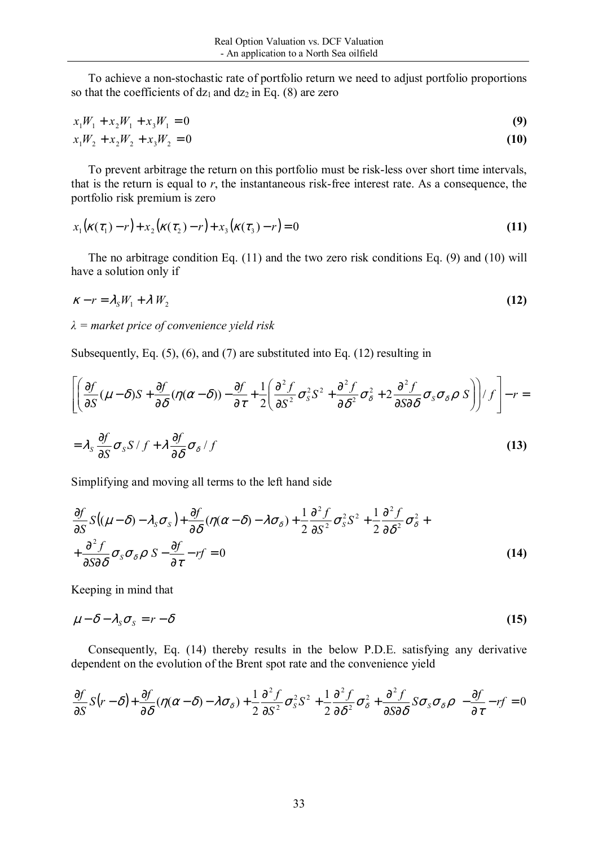To achieve a non-stochastic rate of portfolio return we need to adjust portfolio proportions so that the coefficients of  $dz_1$  and  $dz_2$  in Eq. (8) are zero

$$
x_1 W_1 + x_2 W_1 + x_3 W_1 = 0
$$
\n(9)

$$
x_1 W_2 + x_2 W_2 + x_3 W_2 = 0 \tag{10}
$$

To prevent arbitrage the return on this portfolio must be risk-less over short time intervals, that is the return is equal to *r*, the instantaneous risk-free interest rate. As a consequence, the portfolio risk premium is zero

$$
x_1(k(\tau_1) - r) + x_2(k(\tau_2) - r) + x_3(k(\tau_3) - r) = 0
$$
\n(11)

The no arbitrage condition Eq. (11) and the two zero risk conditions Eq. (9) and (10) will have a solution only if

$$
\kappa - r = \lambda_s W_1 + \lambda W_2 \tag{12}
$$

#### *λ = market price of convenience yield risk*

Subsequently, Eq. (5), (6), and (7) are substituted into Eq. (12) resulting in

$$
\left[ \left( \frac{\partial f}{\partial S} (\mu - \delta) S + \frac{\partial f}{\partial \delta} (\eta (\alpha - \delta)) - \frac{\partial f}{\partial \tau} + \frac{1}{2} \left( \frac{\partial^2 f}{\partial S^2} \sigma_S^2 S^2 + \frac{\partial^2 f}{\partial \delta^2} \sigma_S^2 + 2 \frac{\partial^2 f}{\partial S \partial \delta} \sigma_S \sigma_S \rho S \right) \right) / f \right] - r =
$$
  
=  $\lambda_S \frac{\partial f}{\partial S} \sigma_S S / f + \lambda \frac{\partial f}{\partial \delta} \sigma_S / f$  (13)

Simplifying and moving all terms to the left hand side

$$
\frac{\partial f}{\partial S} S((\mu - \delta) - \lambda_s \sigma_s) + \frac{\partial f}{\partial \delta} (\eta (\alpha - \delta) - \lambda \sigma_s) + \frac{1}{2} \frac{\partial^2 f}{\partial S^2} \sigma_s^2 S^2 + \frac{1}{2} \frac{\partial^2 f}{\partial \delta^2} \sigma_s^2 + \frac{\partial^2 f}{\partial S \partial \delta} \sigma_s \sigma_s \rho S - \frac{\partial f}{\partial \tau} - rf = 0
$$
\n(14)

Keeping in mind that

$$
\mu - \delta - \lambda_{\rm s} \sigma_{\rm s} = r - \delta \tag{15}
$$

Consequently, Eq. (14) thereby results in the below P.D.E. satisfying any derivative dependent on the evolution of the Brent spot rate and the convenience yield

$$
\frac{\partial f}{\partial S}S(r-\delta) + \frac{\partial f}{\partial \delta}(\eta(\alpha-\delta) - \lambda \sigma_{\delta}) + \frac{1}{2}\frac{\partial^2 f}{\partial S^2}\sigma_S^2S^2 + \frac{1}{2}\frac{\partial^2 f}{\partial \delta^2}\sigma_{\delta}^2 + \frac{\partial^2 f}{\partial S\partial \delta}S\sigma_S\sigma_{\delta}\rho - \frac{\partial f}{\partial \tau} - rf = 0
$$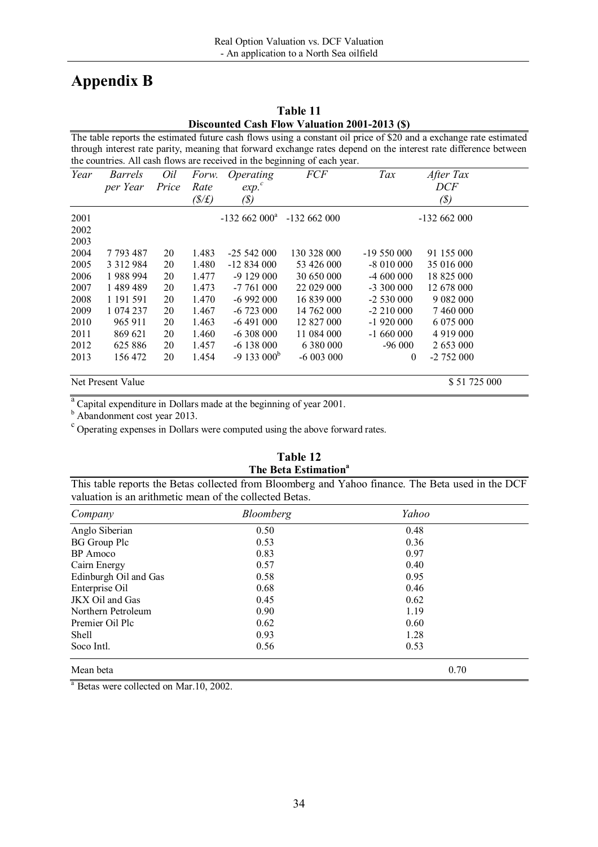# **Appendix B**

|      | TAUR TI                                       |       |        |                     |                                                                           |             |                                                                                                                    |  |
|------|-----------------------------------------------|-------|--------|---------------------|---------------------------------------------------------------------------|-------------|--------------------------------------------------------------------------------------------------------------------|--|
|      | Discounted Cash Flow Valuation 2001-2013 (\$) |       |        |                     |                                                                           |             |                                                                                                                    |  |
|      |                                               |       |        |                     |                                                                           |             | The table reports the estimated future cash flows using a constant oil price of \$20 and a exchange rate estimated |  |
|      |                                               |       |        |                     |                                                                           |             | through interest rate parity, meaning that forward exchange rates depend on the interest rate difference between   |  |
|      |                                               |       |        |                     | the countries. All cash flows are received in the beginning of each year. |             |                                                                                                                    |  |
| Year | <i>Barrels</i>                                | Oil   | Forw.  | Operating           | <i>FCF</i>                                                                | Tax         | After Tax                                                                                                          |  |
|      | per Year                                      | Price | Rate   | $exp.$ <sup>c</sup> |                                                                           |             | <i>DCF</i>                                                                                                         |  |
|      |                                               |       | (\$/£) | (\$)                |                                                                           |             | $(\$\)$                                                                                                            |  |
| 2001 |                                               |       |        | $-132662000^a$      | $-132662000$                                                              |             | $-132662000$                                                                                                       |  |
| 2002 |                                               |       |        |                     |                                                                           |             |                                                                                                                    |  |
| 2003 |                                               |       |        |                     |                                                                           |             |                                                                                                                    |  |
| 2004 | 7 793 487                                     | 20    | 1.483  | $-25,542,000$       | 130 328 000                                                               | $-19550000$ | 91 155 000                                                                                                         |  |
| 2005 | 3 3 1 2 9 8 4                                 | 20    | 1.480  | $-12834000$         | 53 426 000                                                                | $-8010000$  | 35 016 000                                                                                                         |  |
| 2006 | 1988994                                       | 20    | 1.477  | $-9129000$          | 30 650 000                                                                | $-4600000$  | 18 825 000                                                                                                         |  |
| 2007 | 1 489 489                                     | 20    | 1.473  | $-7761000$          | 22 029 000                                                                | $-3300000$  | 12 678 000                                                                                                         |  |
| 2008 | 1 191 591                                     | 20    | 1.470  | $-6992000$          | 16 839 000                                                                | $-2530000$  | 9 082 000                                                                                                          |  |
| 2009 | 1 074 237                                     | 20    | 1.467  | $-6723000$          | 14 762 000                                                                | $-2210000$  | 7 460 000                                                                                                          |  |
| 2010 | 965 911                                       | 20    | 1.463  | $-6491000$          | 12 827 000                                                                | $-1920000$  | 6 0 75 0 00                                                                                                        |  |
| 2011 | 869 621                                       | 20    | 1.460  | $-6308000$          | 11 084 000                                                                | $-1660000$  | 4 9 1 9 0 0 0                                                                                                      |  |
| 2012 | 625 886                                       | 20    | 1.457  | $-6$ 138 000        |                                                                           | $-96000$    | 2 653 000                                                                                                          |  |
| 2013 | 156 472                                       | 20    | 1.454  | $-9133000^b$        | $-6003000$                                                                | $\theta$    | $-2752000$                                                                                                         |  |
|      | Net Present Value                             |       |        |                     |                                                                           |             | \$51725000                                                                                                         |  |

# **Table 11**

 $a<sup>a</sup>$  Capital expenditure in Dollars made at the beginning of year 2001.

**b** Abandonment cost year 2013.

c Operating expenses in Dollars were computed using the above forward rates.

#### **Table 12 The Beta Estimation<sup>a</sup>**

| This table reports the Betas collected from Bloomberg and Yahoo finance. The Beta used in the DCF |  |  |  |
|---------------------------------------------------------------------------------------------------|--|--|--|
| valuation is an arithmetic mean of the collected Betas.                                           |  |  |  |

| Company               | Bloomberg | Yahoo |  |
|-----------------------|-----------|-------|--|
| Anglo Siberian        | 0.50      | 0.48  |  |
| <b>BG</b> Group Plc   | 0.53      | 0.36  |  |
| BP Amoco              | 0.83      | 0.97  |  |
| Cairn Energy          | 0.57      | 0.40  |  |
| Edinburgh Oil and Gas | 0.58      | 0.95  |  |
| Enterprise Oil        | 0.68      | 0.46  |  |
| JKX Oil and Gas       | 0.45      | 0.62  |  |
| Northern Petroleum    | 0.90      | 1.19  |  |
| Premier Oil Plc       | 0.62      | 0.60  |  |
| Shell                 | 0.93      | 1.28  |  |
| Soco Intl.            | 0.56      | 0.53  |  |
| Mean beta             |           | 0.70  |  |

<sup>a</sup> Betas were collected on Mar.10, 2002.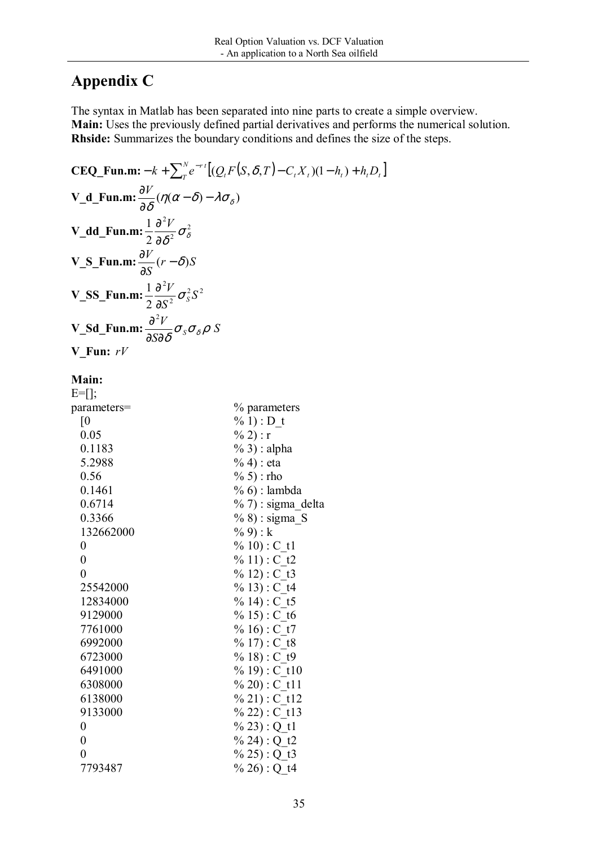# **Appendix C**

The syntax in Matlab has been separated into nine parts to create a simple overview. **Main:** Uses the previously defined partial derivatives and performs the numerical solution. **Rhside:** Summarizes the boundary conditions and defines the size of the steps.

CEQ\_Funn...-
$$
k + \sum_{n}^{N} e^{-rt}[(Q_{i}F(S, \delta, T) - C_{i}X_{i})(1-h_{i}) + h_{i}D_{i}]
$$
  
\nV\_d\_Fun...  $\frac{\partial V}{\partial \delta}(\eta(\alpha - \delta) - \lambda \sigma_{\delta})$   
\nV\_d\_H\_Fun...  $\frac{\partial V}{\partial \delta}(\alpha - \delta) - \lambda \sigma_{\delta}$   
\nV\_S\_Fun...  $\frac{\partial V}{\partial S}(\alpha - \delta)S$   
\nV\_S\_i-S\_Fun...  $\frac{\partial V}{\partial S}(\alpha - \delta)S$   
\nV\_S\_i-S\_Fun...  $\frac{\partial V}{\partial S}(\alpha - \delta)S$   
\nV\_S\_i-S\_Fun...  $\frac{\partial V}{\partial S}(\alpha - \delta)S$   
\nV\_Fun...  $rV$   
\nMain:  
\nE=[];  
\nparameters  
\n[0  
\n0.05  
\n0.1183  
\n0.2988  
\n0.41 : D\_t  
\n0.160  
\n0.1461  
\n0.6714  
\n0.6714  
\n0.6714  
\n0.6714  
\n0.6714  
\n0.6714  
\n0.6714  
\n0.6714  
\n0.6714  
\n0.6714  
\n0.6714  
\n0.6714  
\n0.6714  
\n0.6714  
\n0.6714  
\n0.6714  
\n0.6714  
\n0.6714  
\n0.6714  
\n0.6714  
\n0.6714  
\n0.6714  
\n0.6714  
\n0.6714  
\n0.6714  
\n0.6714  
\n0.6714  
\n0.6714  
\n0.6714  
\n0.6714  
\n0.6714  
\n0.6714  
\n0.6714  
\n0.6714  
\n0.6714  
\n0.6714  
\n0.6714  
\n0.6714  
\n0.6714  
\n0.6714  
\n0.6714  
\n0.6714  
\n0.6714  
\n0.6714  
\n0.6714  
\n0.6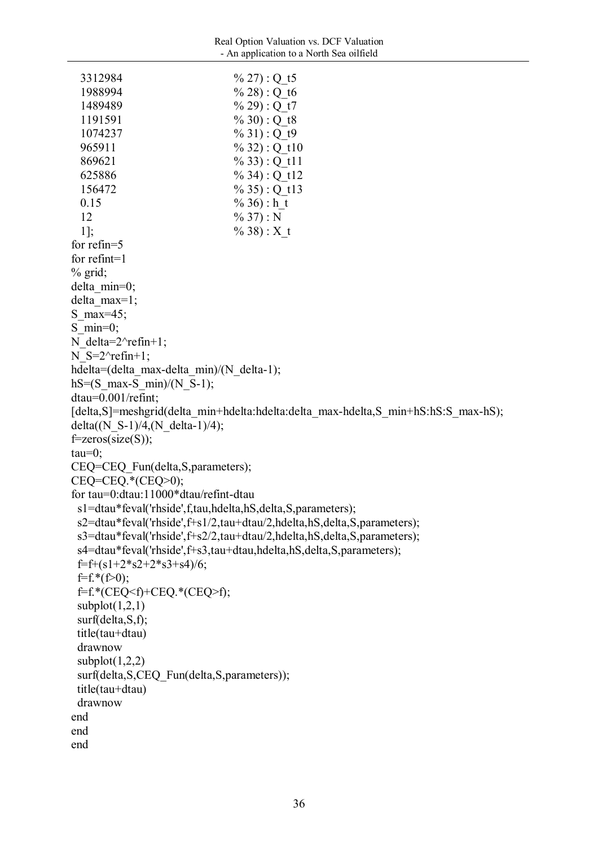| 3312984                                                     | $\%$ 27): Q t5                                                                     |
|-------------------------------------------------------------|------------------------------------------------------------------------------------|
| 1988994                                                     | $\%$ 28): Q t6                                                                     |
| 1489489                                                     | $\%$ 29): Q t7                                                                     |
| 1191591                                                     | $\% 30$ : Q t8                                                                     |
| 1074237                                                     | $\% 31$ : Q t9                                                                     |
| 965911                                                      | $\%$ 32): Q t10                                                                    |
| 869621                                                      | $\%$ 33): Q t11                                                                    |
| 625886                                                      | % 34) : Q t12                                                                      |
| 156472                                                      | $\% 35$ : Q t13                                                                    |
| 0.15                                                        | $\% 36$ : h t                                                                      |
| 12                                                          | $\% 37$ : N                                                                        |
| $1$ ;                                                       | % 38): $X$ t                                                                       |
| for refin= $5$                                              |                                                                                    |
| for refint=1                                                |                                                                                    |
| $%$ grid;                                                   |                                                                                    |
| delta $min=0$ ;                                             |                                                                                    |
| delta $max=1$ ;                                             |                                                                                    |
| S max=45;                                                   |                                                                                    |
| S min=0;                                                    |                                                                                    |
| N delta= $2^{\wedge}$ refin+1;                              |                                                                                    |
| N $S=2^{\prime}refin+1$ ;                                   |                                                                                    |
| hdelta=(delta max-delta min)/(N delta-1);                   |                                                                                    |
|                                                             |                                                                                    |
| $hS = (S$ max-S min)/(N S-1);                               |                                                                                    |
| dtau=0.001/refint;                                          |                                                                                    |
|                                                             | [delta,S]=meshgrid(delta min+hdelta:hdelta:delta max-hdelta,S min+hS:hS:S max-hS); |
| delta $(N S-1)/4$ , $(N$ delta-1 $)/4$ );                   |                                                                                    |
| $f = zeros(size(S));$                                       |                                                                                    |
| $tau=0$ ;                                                   |                                                                                    |
| CEQ=CEQ Fun(delta, S, parameters);                          |                                                                                    |
| $CEQ=CEQ.*(CEQ>0);$                                         |                                                                                    |
| for tau=0:dtau:11000*dtau/refint-dtau                       |                                                                                    |
| s1=dtau*feval('rhside',f,tau,hdelta,hS,delta,S,parameters); |                                                                                    |
|                                                             | s2=dtau*feval('rhside',f+s1/2,tau+dtau/2,hdelta,hS,delta,S,parameters);            |
|                                                             | s3=dtau*feval('rhside',f+s2/2,tau+dtau/2,hdelta,hS,delta,S,parameters);            |
|                                                             | s4=dtau*feval('rhside',f+s3,tau+dtau,hdelta,hS,delta,S,parameters);                |
| $f=f+(s1+2*s2+2*s3+ s4)/6;$                                 |                                                                                    |
| $f=f.*(f>0);$                                               |                                                                                    |
| f=f.*(CEQ <f)+ceq.*(ceq>f);</f)+ceq.*(ceq>                  |                                                                                    |
| subplot(1,2,1)                                              |                                                                                    |
| surf(delta, S, f);                                          |                                                                                    |
| title(tau+dtau)                                             |                                                                                    |
| drawnow                                                     |                                                                                    |
| subplot(1,2,2)                                              |                                                                                    |
| surf(delta, S, CEQ Fun(delta, S, parameters));              |                                                                                    |
| title(tau+dtau)                                             |                                                                                    |
| drawnow                                                     |                                                                                    |
| end                                                         |                                                                                    |
| end                                                         |                                                                                    |
| end                                                         |                                                                                    |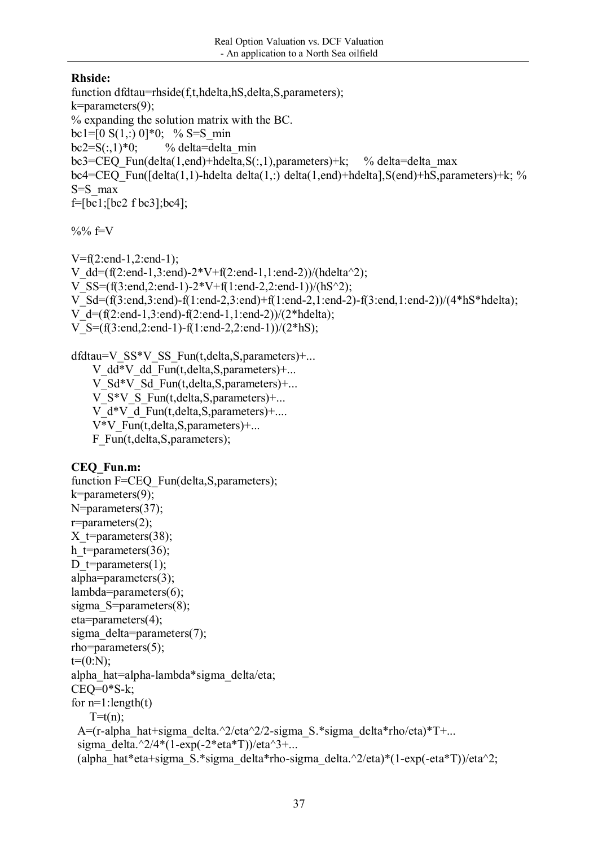## **Rhside:**

function dfdtau=rhside(f,t,hdelta,hS,delta,S,parameters); k=parameters(9); % expanding the solution matrix with the BC. bc1=[0 S(1,:) 0]\*0; % S=S min  $bc2=S(.1)*0$ ; % delta=delta min bc3=CEQ Fun(delta(1,end)+hdelta,S(:,1),parameters)+k; % delta=delta max bc4=CEQ\_Fun( $\lceil \text{delta}(1,1) \rceil$ -hdelta delta $(1,:)$  delta $(1,end)$ +hdelta],S(end)+hS,parameters)+k; %  $S=S$  max f=[bc1;[bc2 f bc3];bc4];

%%  $f=V$ 

V=f(2:end-1,2:end-1); V\_dd=(f(2:end-1,3:end)-2\*V+f(2:end-1,1:end-2))/(hdelta^2); V\_SS=(f(3:end,2:end-1)-2\*V+f(1:end-2,2:end-1))/(hS^2); V\_Sd=(f(3:end,3:end)-f(1:end-2,3:end)+f(1:end-2,1:end-2)-f(3:end,1:end-2))/(4\*hS\*hdelta); V  $d=(f(2:end-1,3:end)-f(2:end-1,1:end-2))/(2*hdelta);$ V  $S=(f(3:end.2:end-1)-f(1:end-2,2:end-1))/(2*hS);$ 

dfdtau=V  $SS*V$  SS Fun(t,delta,S,parameters)+... V dd\*V dd  $Fun(t,\text{delta},S,\text{parameters})+...$  V\_Sd\*V\_Sd\_Fun(t,delta,S,parameters)+... V  $S*V$  S Fun(t,delta, S, parameters)+... V  $d*V$  d Fun(t,delta, S, parameters)+....  $V*V$  Fun(t,delta, S, parameters)+... F\_Fun(t,delta,S,parameters);

## **CEQ\_Fun.m:**

```
function F=CEO Fun(delta,S,parameters);
k=parameters(9);
N=parameters(37);
r =parameters(2);
X t= parameters(38);
h t=parameters(36);
D t=parameters(1);
alpha=parameters(3); 
lambda=parameters(6); 
sigma S=parameters(8);
eta=parameters(4); 
sigma_delta=parameters(7);
rho=parameters(5); 
t=(0:N);
alpha_hat=alpha-lambda*sigma_delta/eta; 
CEO=0*S-k:
for n=1: length(t)T=tr(n):
 A=(r-alpha hat+sigma delta.^2/eta^2/2-sigma S.*sigma delta*rho/eta)*T+...
 sigma_delta.^2/4*(1-exp(-2*eta*T))/eta^3+...
 (alpha hat*eta+sigma S.*sigma delta*rho-sigma delta.^2/eta)*(1-exp(-eta*T))/eta^2;
```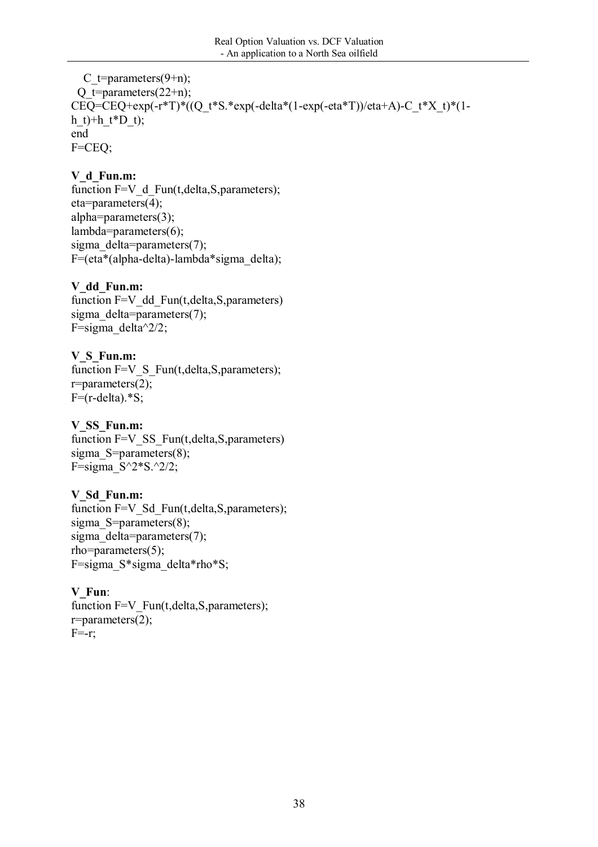C t=parameters $(9+n)$ ; Q t=parameters $(22+n)$ ; CEQ=CEQ+exp(-r\*T)\*((Q\_t\*S.\*exp(-delta\*(1-exp(-eta\*T))/eta+A)-C\_t\*X\_t)\*(1h\_t)+h\_t\*D\_t); end F=CEQ;

## **V\_d\_Fun.m:**

function  $F=V/d$  Fun(t,delta,S,parameters); eta=parameters(4); alpha=parameters(3); lambda=parameters(6); sigma\_delta=parameters(7); F=(eta\*(alpha-delta)-lambda\*sigma\_delta);

### **V\_dd\_Fun.m:**

function  $F=V$  dd  $Fun(t,\text{delta},S,\text{parameters})$ sigma\_delta=parameters(7); F=sigma\_delta $^2/2$ ;

#### **V\_S\_Fun.m:**

function F=V\_S\_Fun(t,delta,S,parameters);  $r =$ parameters $(2)$ ;  $F=(r-delta).*S;$ 

#### **V\_SS\_Fun.m:**

function F=V\_SS\_Fun(t,delta,S,parameters) sigma S=parameters(8); F=sigma $S^2*S.^2/2$ ;

#### **V\_Sd\_Fun.m:**

function F=V\_Sd\_Fun(t,delta,S,parameters); sigma S=parameters(8); sigma\_delta=parameters $(7)$ ; rho=parameters(5); F=sigma\_S\*sigma\_delta\*rho\*S;

#### **V\_Fun**:

function  $F=V$  Fun(t,delta,S,parameters);  $r =$ parameters $(2)$ ;  $F=-r$ ;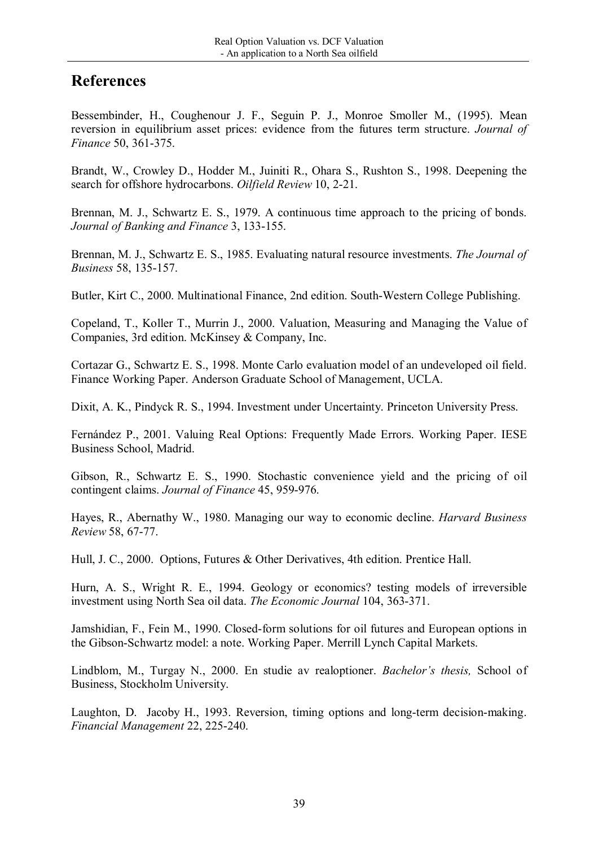# **References**

Bessembinder, H., Coughenour J. F., Seguin P. J., Monroe Smoller M., (1995). Mean reversion in equilibrium asset prices: evidence from the futures term structure. *Journal of Finance* 50, 361-375.

Brandt, W., Crowley D., Hodder M., Juiniti R., Ohara S., Rushton S., 1998. Deepening the search for offshore hydrocarbons. *Oilfield Review* 10, 2-21.

Brennan, M. J., Schwartz E. S., 1979. A continuous time approach to the pricing of bonds. *Journal of Banking and Finance* 3, 133-155.

Brennan, M. J., Schwartz E. S., 1985. Evaluating natural resource investments. *The Journal of Business* 58, 135-157.

Butler, Kirt C., 2000. Multinational Finance, 2nd edition. South-Western College Publishing.

Copeland, T., Koller T., Murrin J., 2000. Valuation, Measuring and Managing the Value of Companies, 3rd edition. McKinsey & Company, Inc.

Cortazar G., Schwartz E. S., 1998. Monte Carlo evaluation model of an undeveloped oil field. Finance Working Paper. Anderson Graduate School of Management, UCLA.

Dixit, A. K., Pindyck R. S., 1994. Investment under Uncertainty. Princeton University Press.

Fernández P., 2001. Valuing Real Options: Frequently Made Errors. Working Paper. IESE Business School, Madrid.

Gibson, R., Schwartz E. S., 1990. Stochastic convenience yield and the pricing of oil contingent claims. *Journal of Finance* 45, 959-976.

Hayes, R., Abernathy W., 1980. Managing our way to economic decline. *Harvard Business Review* 58, 67-77.

Hull, J. C., 2000. Options, Futures & Other Derivatives, 4th edition. Prentice Hall.

Hurn, A. S., Wright R. E., 1994. Geology or economics? testing models of irreversible investment using North Sea oil data. *The Economic Journal* 104, 363-371.

Jamshidian, F., Fein M., 1990. Closed-form solutions for oil futures and European options in the Gibson-Schwartz model: a note. Working Paper. Merrill Lynch Capital Markets.

Lindblom, M., Turgay N., 2000. En studie av realoptioner. *Bachelor's thesis*, School of Business, Stockholm University.

Laughton, D. Jacoby H., 1993. Reversion, timing options and long-term decision-making. *Financial Management* 22, 225-240.